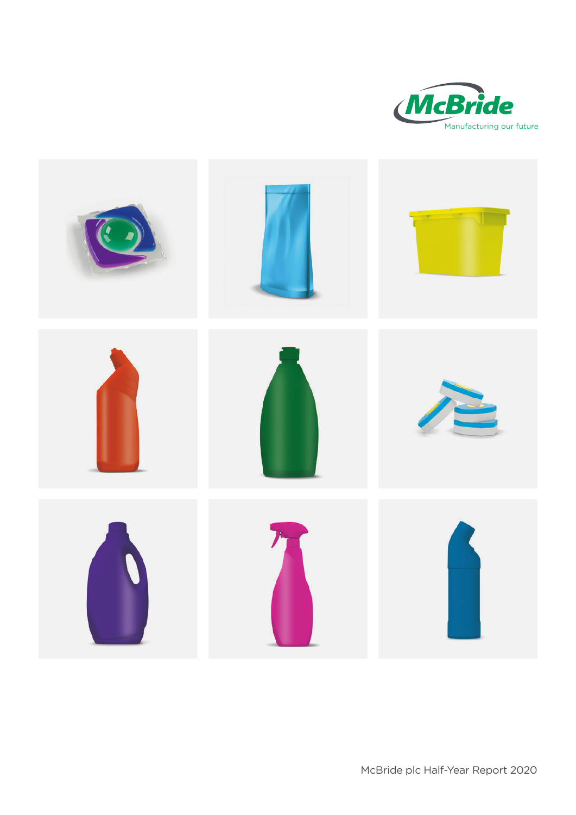

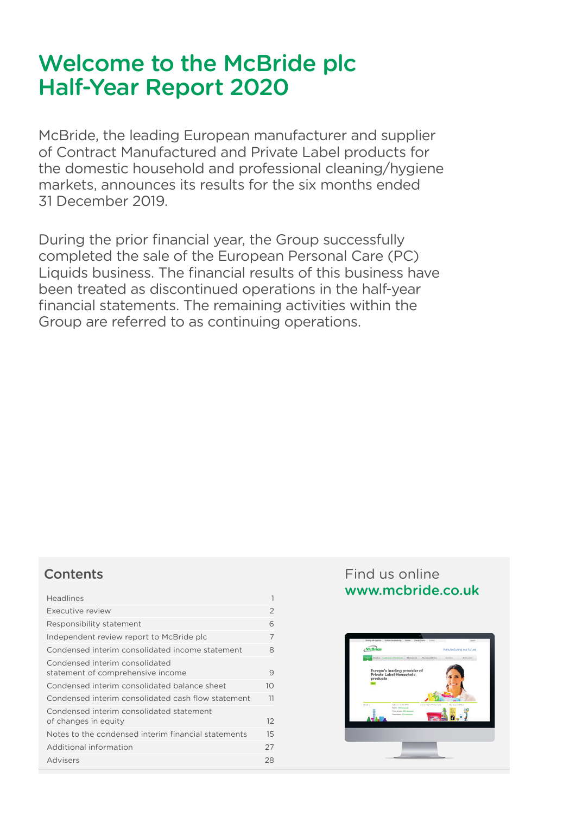# Welcome to the McBride plc Half-Year Report 2020

McBride, the leading European manufacturer and supplier of Contract Manufactured and Private Label products for the domestic household and professional cleaning/hygiene markets, announces its results for the six months ended 31 December 2019.

During the prior financial year, the Group successfully completed the sale of the European Personal Care (PC) Liquids business. The financial results of this business have been treated as discontinued operations in the half-year financial statements. The remaining activities within the Group are referred to as continuing operations.

## **Contents**

| <b>Headlines</b>                                                    |                 |
|---------------------------------------------------------------------|-----------------|
| Executive review                                                    | $\overline{2}$  |
| Responsibility statement                                            | 6               |
| Independent review report to McBride plc                            | 7               |
| Condensed interim consolidated income statement                     | 8               |
| Condensed interim consolidated<br>statement of comprehensive income | 9               |
| Condensed interim consolidated balance sheet                        | 10 <sup>1</sup> |
| Condensed interim consolidated cash flow statement                  | 11              |
| Condensed interim consolidated statement<br>of changes in equity    | 12              |
| Notes to the condensed interim financial statements                 | 15              |
| Additional information                                              | 27              |
| Advisers                                                            | 28              |

## Find us online <www.mcbride.co.uk>

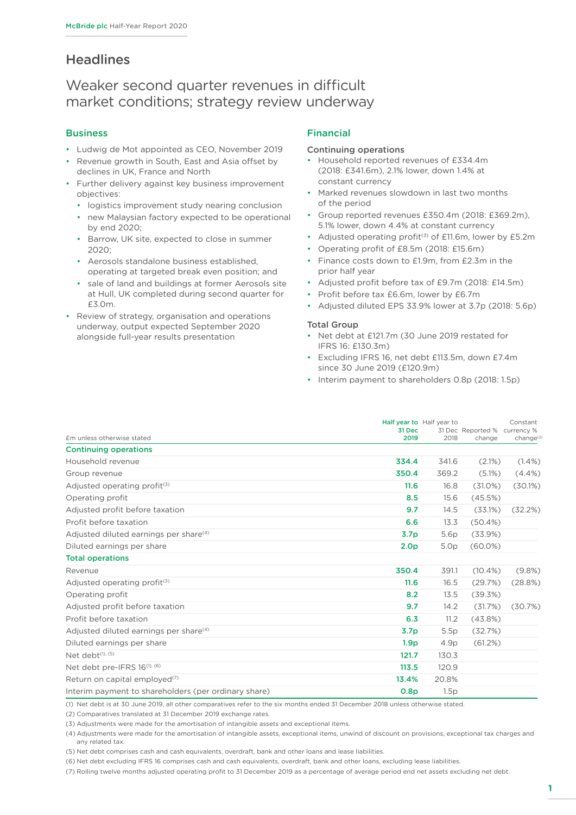## **Headlines**

## Weaker second quarter revenues in difficult market conditions; strategy review underway

#### **Business**

- Ludwig de Mot appointed as CEO, November 2019
- Revenue growth in South, East and Asia offset by declines in UK, France and North
- Further delivery against key business improvement objectives:
	- logistics improvement study nearing conclusion
	- new Malaysian factory expected to be operational by end 2020;
	- Barrow, UK site, expected to close in summer 2020;
	- Aerosols standalone business established, operating at targeted break even position; and
	- sale of land and buildings at former Aerosols site at Hull, UK completed during second quarter for £3.0m.
- Review of strategy, organisation and operations underway, output expected September 2020 alongside full-year results presentation

#### Financial

#### Continuing operations

- Household reported revenues of £334.4m (2018: £341.6m), 2.1% lower, down 1.4% at constant currency
- Marked revenues slowdown in last two months of the period
- Group reported revenues £350.4m (2018: £369.2m), 5.1% lower, down 4.4% at constant currency
- Adjusted operating profit<sup>(3)</sup> of  $£11.6m$ , lower by  $£5.2m$
- Operating profit of £8.5m (2018: £15.6m)
- Finance costs down to £1.9m, from £2.3m in the prior half year
- Adjusted profit before tax of £9.7m (2018: £14.5m)
- Profit before tax £6.6m, lower by £6.7m
- Adjusted diluted EPS 33.9% lower at 3.7p (2018: 5.6p)

#### Total Group

- Net debt at £121.7m (30 June 2019 restated for IFRS 16: £130.3m)
- Excluding IFRS 16, net debt £113.5m, down £7.4m since 30 June 2019 (£120.9m)
- Interim payment to shareholders 0.8p (2018: 1.5p)

|                                                      | 31 Dec           | Half year to Half year to | 31 Dec Reported % | Constant<br>currency % |
|------------------------------------------------------|------------------|---------------------------|-------------------|------------------------|
| £m unless otherwise stated                           | 2019             | 2018                      | change            | change <sup>(2</sup>   |
| <b>Continuing operations</b>                         |                  |                           |                   |                        |
| Household revenue                                    | 334.4            | 341.6                     | $(2.1\%)$         | $(1.4\%)$              |
| Group revenue                                        | 350.4            | 369.2                     | $(5.1\%)$         | $(4.4\%)$              |
| Adjusted operating profit <sup>(3)</sup>             | 11.6             | 16.8                      | $(31.0\%)$        | (30.1%)                |
| Operating profit                                     | 8.5              | 15.6                      | (45.5%)           |                        |
| Adjusted profit before taxation                      | 9.7              | 14.5                      | (33.1%)           | (32.2%)                |
| Profit before taxation                               | 6.6              | 13.3                      | $(50.4\%)$        |                        |
| Adjusted diluted earnings per share <sup>(4)</sup>   | 3.7 <sub>p</sub> | 5.6p                      | (33.9%)           |                        |
| Diluted earnings per share                           | 2.0 <sub>p</sub> | 5.0 <sub>p</sub>          | $(60.0\%)$        |                        |
| <b>Total operations</b>                              |                  |                           |                   |                        |
| Revenue                                              | 350.4            | 391.1                     | $(10.4\%)$        | (9.8%)                 |
| Adjusted operating profit $(3)$                      | 11.6             | 16.5                      | (29.7%)           | (28.8%)                |
| Operating profit                                     | 8.2              | 13.5                      | (39.3%)           |                        |
| Adjusted profit before taxation                      | 9.7              | 14.2                      | (31.7%)           | (30.7%)                |
| Profit before taxation                               | 6.3              | 11.2                      | (43.8%)           |                        |
| Adjusted diluted earnings per share <sup>(4)</sup>   | 3.7 <sub>p</sub> | 5.5p                      | (32.7%)           |                        |
| Diluted earnings per share                           | 1.9 <sub>p</sub> | 4.9p                      | (61.2%)           |                        |
| Net debt <sup>(1), (5)</sup>                         | 121.7            | 130.3                     |                   |                        |
| Net debt pre-IFRS $16^{(1)}$ , $(6)$                 | 113.5            | 120.9                     |                   |                        |
| Return on capital employed <sup>(7)</sup>            | 13.4%            | 20.8%                     |                   |                        |
| Interim payment to shareholders (per ordinary share) | 0.8 <sub>p</sub> | 1.5p                      |                   |                        |

(1) Net debt is at 30 June 2019, all other comparatives refer to the six months ended 31 December 2018 unless otherwise stated.

(2) Comparatives translated at 31 December 2019 exchange rates.

(3) Adjustments were made for the amortisation of intangible assets and exceptional items.

(4) Adjustments were made for the amortisation of intangible assets, exceptional items, unwind of discount on provisions, exceptional tax charges and any related tax.

(5) Net debt comprises cash and cash equivalents, overdraft, bank and other loans and lease liabilities.

(6) Net debt excluding IFRS 16 comprises cash and cash equivalents, overdraft, bank and other loans, excluding lease liabilities.

(7) Rolling twelve months adjusted operating profit to 31 December 2019 as a percentage of average period end net assets excluding net debt.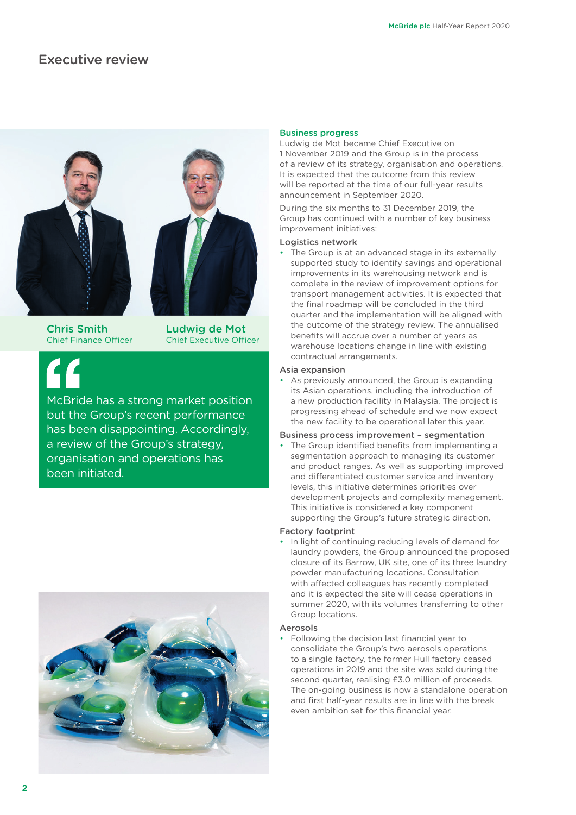### <span id="page-3-0"></span>Executive review



Chris Smith Ludwig de Mot Chief Finance Officer Chief Executive Officer

McBride has a strong market position but the Group's recent performance has been disappointing. Accordingly, a review of the Group's strategy, organisation and operations has been initiated.



#### Business progress

Ludwig de Mot became Chief Executive on 1 November 2019 and the Group is in the process of a review of its strategy, organisation and operations. It is expected that the outcome from this review will be reported at the time of our full-year results announcement in September 2020.

During the six months to 31 December 2019, the Group has continued with a number of key business improvement initiatives:

#### Logistics network

• The Group is at an advanced stage in its externally supported study to identify savings and operational improvements in its warehousing network and is complete in the review of improvement options for transport management activities. It is expected that the final roadmap will be concluded in the third quarter and the implementation will be aligned with the outcome of the strategy review. The annualised benefits will accrue over a number of years as warehouse locations change in line with existing contractual arrangements.

#### Asia expansion

As previously announced, the Group is expanding its Asian operations, including the introduction of a new production facility in Malaysia. The project is progressing ahead of schedule and we now expect the new facility to be operational later this year.

#### Business process improvement – segmentation

The Group identified benefits from implementing a segmentation approach to managing its customer and product ranges. As well as supporting improved and differentiated customer service and inventory levels, this initiative determines priorities over development projects and complexity management. This initiative is considered a key component supporting the Group's future strategic direction.

#### Factory footprint

In light of continuing reducing levels of demand for laundry powders, the Group announced the proposed closure of its Barrow, UK site, one of its three laundry powder manufacturing locations. Consultation with affected colleagues has recently completed and it is expected the site will cease operations in summer 2020, with its volumes transferring to other Group locations.

#### Aerosols

• Following the decision last financial year to consolidate the Group's two aerosols operations to a single factory, the former Hull factory ceased operations in 2019 and the site was sold during the second quarter, realising £3.0 million of proceeds. The on-going business is now a standalone operation and first half-year results are in line with the break even ambition set for this financial year.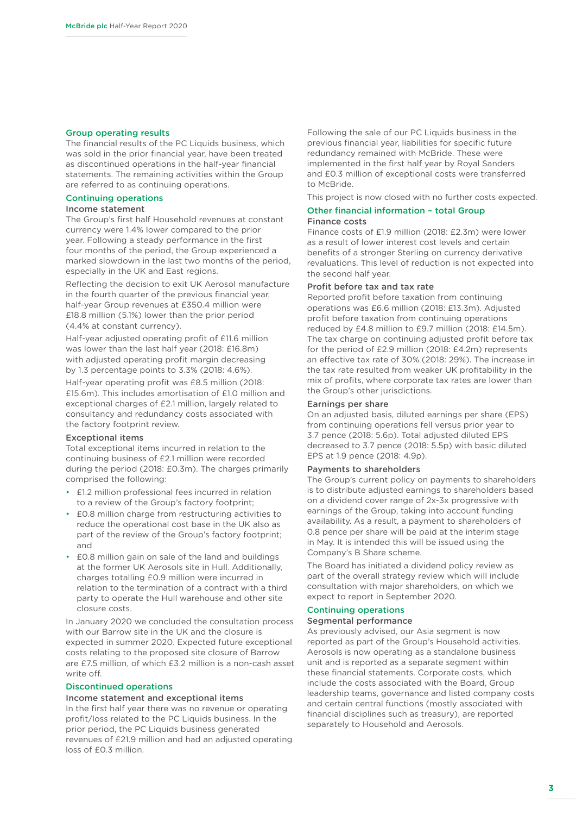#### Group operating results

The financial results of the PC Liquids business, which was sold in the prior financial year, have been treated as discontinued operations in the half-year financial statements. The remaining activities within the Group are referred to as continuing operations.

#### Continuing operations

#### Income statement

The Group's first half Household revenues at constant currency were 1.4% lower compared to the prior year. Following a steady performance in the first four months of the period, the Group experienced a marked slowdown in the last two months of the period, especially in the UK and East regions.

Reflecting the decision to exit UK Aerosol manufacture in the fourth quarter of the previous financial year, half-year Group revenues at £350.4 million were £18.8 million (5.1%) lower than the prior period (4.4% at constant currency).

Half-year adjusted operating profit of £11.6 million was lower than the last half year (2018: £16.8m) with adjusted operating profit margin decreasing by 1.3 percentage points to 3.3% (2018: 4.6%).

Half-year operating profit was £8.5 million (2018: £15.6m). This includes amortisation of £1.0 million and exceptional charges of £2.1 million, largely related to consultancy and redundancy costs associated with the factory footprint review.

#### Exceptional items

Total exceptional items incurred in relation to the continuing business of £2.1 million were recorded during the period (2018: £0.3m). The charges primarily comprised the following:

- £1.2 million professional fees incurred in relation to a review of the Group's factory footprint;
- £0.8 million charge from restructuring activities to reduce the operational cost base in the UK also as part of the review of the Group's factory footprint; and
- £0.8 million gain on sale of the land and buildings at the former UK Aerosols site in Hull. Additionally, charges totalling £0.9 million were incurred in relation to the termination of a contract with a third party to operate the Hull warehouse and other site closure costs.

In January 2020 we concluded the consultation process with our Barrow site in the UK and the closure is expected in summer 2020. Expected future exceptional costs relating to the proposed site closure of Barrow are £7.5 million, of which £3.2 million is a non-cash asset write off.

#### Discontinued operations

#### Income statement and exceptional items

In the first half year there was no revenue or operating profit/loss related to the PC Liquids business. In the prior period, the PC Liquids business generated revenues of £21.9 million and had an adjusted operating loss of £0.3 million.

Following the sale of our PC Liquids business in the previous financial year, liabilities for specific future redundancy remained with McBride. These were implemented in the first half year by Royal Sanders and £0.3 million of exceptional costs were transferred to McBride.

This project is now closed with no further costs expected.

#### Other financial information – total Group Finance costs

Finance costs of £1.9 million (2018: £2.3m) were lower as a result of lower interest cost levels and certain benefits of a stronger Sterling on currency derivative revaluations. This level of reduction is not expected into the second half year.

#### Profit before tax and tax rate

Reported profit before taxation from continuing operations was £6.6 million (2018: £13.3m). Adjusted profit before taxation from continuing operations reduced by £4.8 million to £9.7 million (2018: £14.5m). The tax charge on continuing adjusted profit before tax for the period of £2.9 million (2018: £4.2m) represents an effective tax rate of 30% (2018: 29%). The increase in the tax rate resulted from weaker UK profitability in the mix of profits, where corporate tax rates are lower than the Group's other jurisdictions.

#### Earnings per share

On an adjusted basis, diluted earnings per share (EPS) from continuing operations fell versus prior year to 3.7 pence (2018: 5.6p). Total adjusted diluted EPS decreased to 3.7 pence (2018: 5.5p) with basic diluted EPS at 1.9 pence (2018: 4.9p).

#### Payments to shareholders

The Group's current policy on payments to shareholders is to distribute adjusted earnings to shareholders based on a dividend cover range of 2x-3x progressive with earnings of the Group, taking into account funding availability. As a result, a payment to shareholders of 0.8 pence per share will be paid at the interim stage in May. It is intended this will be issued using the Company's B Share scheme.

The Board has initiated a dividend policy review as part of the overall strategy review which will include consultation with major shareholders, on which we expect to report in September 2020.

#### Continuing operations

#### Segmental performance

As previously advised, our Asia segment is now reported as part of the Group's Household activities. Aerosols is now operating as a standalone business unit and is reported as a separate segment within these financial statements. Corporate costs, which include the costs associated with the Board, Group leadership teams, governance and listed company costs and certain central functions (mostly associated with financial disciplines such as treasury), are reported separately to Household and Aerosols.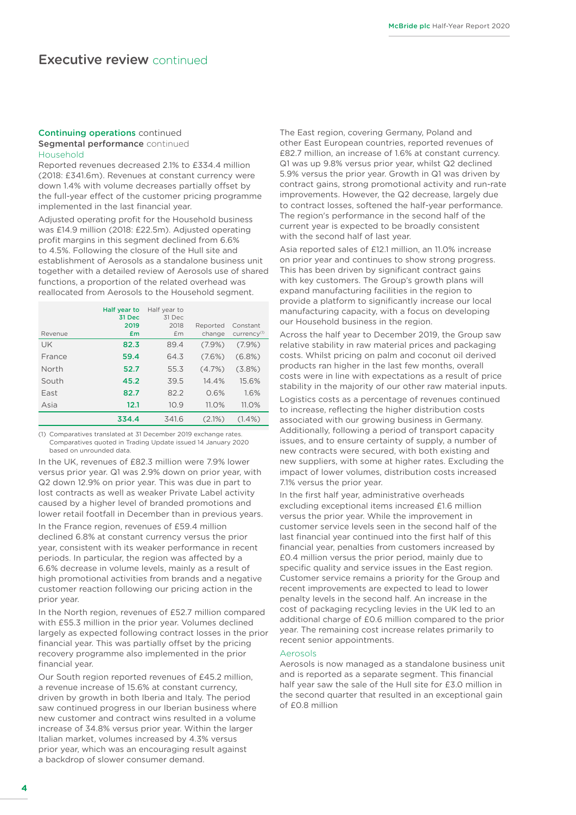#### Continuing operations continued Segmental performance continued Household

Reported revenues decreased 2.1% to £334.4 million (2018: £341.6m). Revenues at constant currency were down 1.4% with volume decreases partially offset by the full-year effect of the customer pricing programme implemented in the last financial year.

Adjusted operating profit for the Household business was £14.9 million (2018: £22.5m). Adjusted operating profit margins in this segment declined from 6.6% to 4.5%. Following the closure of the Hull site and establishment of Aerosols as a standalone business unit together with a detailed review of Aerosols use of shared functions, a proportion of the related overhead was reallocated from Aerosols to the Household segment.

| Revenue | Half year to<br>31 Dec<br>2019<br>£m | Half year to<br>31 Dec<br>2018<br>£m | Reported<br>change | Constant<br>currency <sup>(1)</sup> |
|---------|--------------------------------------|--------------------------------------|--------------------|-------------------------------------|
| UK      | 82.3                                 | 89.4                                 | $(7.9\%)$          | $(7.9\%)$                           |
| France  | 59.4                                 | 64.3                                 | $(7.6\%)$          | $(6.8\%)$                           |
| North   | 52.7                                 | 55.3                                 | (4.7%)             | $(3.8\%)$                           |
| South   | 45.2                                 | 39.5                                 | 14.4%              | 15.6%                               |
| East    | 82.7                                 | 82.2                                 | 0.6%               | 1.6%                                |
| Asia    | 12.1                                 | 10.9                                 | 11.0%              | 11.0%                               |
|         | 334.4                                | 341.6                                | $(2.1\%)$          | $(1.4\%)$                           |

(1) Comparatives translated at 31 December 2019 exchange rates. Comparatives quoted in Trading Update issued 14 January 2020 based on unrounded data

In the UK, revenues of £82.3 million were 7.9% lower versus prior year. Q1 was 2.9% down on prior year, with Q2 down 12.9% on prior year. This was due in part to lost contracts as well as weaker Private Label activity caused by a higher level of branded promotions and lower retail footfall in December than in previous years.

In the France region, revenues of £59.4 million declined 6.8% at constant currency versus the prior year, consistent with its weaker performance in recent periods. In particular, the region was affected by a 6.6% decrease in volume levels, mainly as a result of high promotional activities from brands and a negative customer reaction following our pricing action in the prior year.

In the North region, revenues of £52.7 million compared with £55.3 million in the prior year. Volumes declined largely as expected following contract losses in the prior financial year. This was partially offset by the pricing recovery programme also implemented in the prior financial year.

Our South region reported revenues of £45.2 million, a revenue increase of 15.6% at constant currency, driven by growth in both Iberia and Italy. The period saw continued progress in our Iberian business where new customer and contract wins resulted in a volume increase of 34.8% versus prior year. Within the larger Italian market, volumes increased by 4.3% versus prior year, which was an encouraging result against a backdrop of slower consumer demand.

The East region, covering Germany, Poland and other East European countries, reported revenues of £82.7 million, an increase of 1.6% at constant currency. Q1 was up 9.8% versus prior year, whilst Q2 declined 5.9% versus the prior year. Growth in Q1 was driven by contract gains, strong promotional activity and run-rate improvements. However, the Q2 decrease, largely due to contract losses, softened the half-year performance. The region's performance in the second half of the current year is expected to be broadly consistent with the second half of last year.

Asia reported sales of £12.1 million, an 11.0% increase on prior year and continues to show strong progress. This has been driven by significant contract gains with key customers. The Group's growth plans will expand manufacturing facilities in the region to provide a platform to significantly increase our local manufacturing capacity, with a focus on developing our Household business in the region.

Across the half year to December 2019, the Group saw relative stability in raw material prices and packaging costs. Whilst pricing on palm and coconut oil derived products ran higher in the last few months, overall costs were in line with expectations as a result of price stability in the majority of our other raw material inputs.

Logistics costs as a percentage of revenues continued to increase, reflecting the higher distribution costs associated with our growing business in Germany. Additionally, following a period of transport capacity issues, and to ensure certainty of supply, a number of new contracts were secured, with both existing and new suppliers, with some at higher rates. Excluding the impact of lower volumes, distribution costs increased 7.1% versus the prior year.

In the first half year, administrative overheads excluding exceptional items increased £1.6 million versus the prior year. While the improvement in customer service levels seen in the second half of the last financial year continued into the first half of this financial year, penalties from customers increased by £0.4 million versus the prior period, mainly due to specific quality and service issues in the East region. Customer service remains a priority for the Group and recent improvements are expected to lead to lower penalty levels in the second half. An increase in the cost of packaging recycling levies in the UK led to an additional charge of £0.6 million compared to the prior year. The remaining cost increase relates primarily to recent senior appointments.

#### Aerosols

Aerosols is now managed as a standalone business unit and is reported as a separate segment. This financial half year saw the sale of the Hull site for £3.0 million in the second quarter that resulted in an exceptional gain of £0.8 million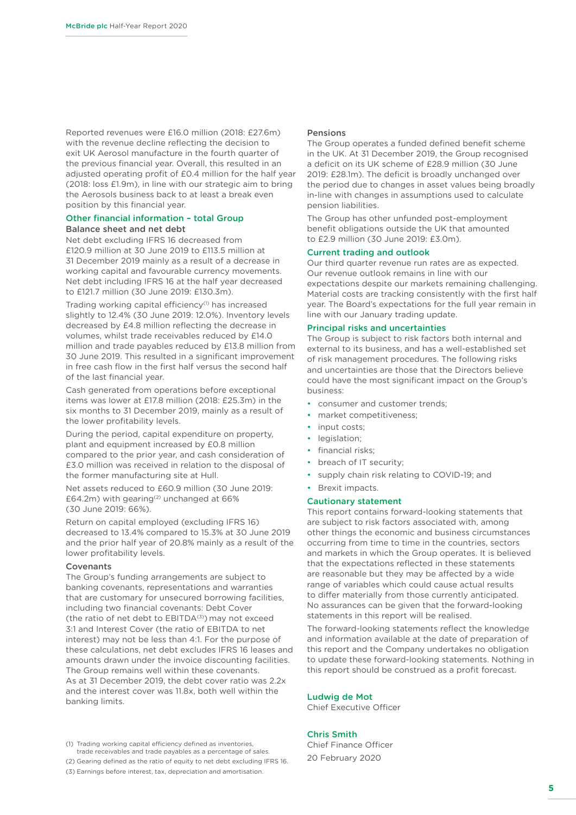Reported revenues were £16.0 million (2018: £27.6m) with the revenue decline reflecting the decision to exit UK Aerosol manufacture in the fourth quarter of the previous financial year. Overall, this resulted in an adjusted operating profit of £0.4 million for the half year (2018: loss £1.9m), in line with our strategic aim to bring the Aerosols business back to at least a break even position by this financial year.

#### Other financial information – total Group Balance sheet and net debt

Net debt excluding IFRS 16 decreased from £120.9 million at 30 June 2019 to £113.5 million at 31 December 2019 mainly as a result of a decrease in working capital and favourable currency movements. Net debt including IFRS 16 at the half year decreased to £121.7 million (30 June 2019: £130.3m).

Trading working capital efficiency<sup>(1)</sup> has increased slightly to 12.4% (30 June 2019: 12.0%). Inventory levels decreased by £4.8 million reflecting the decrease in volumes, whilst trade receivables reduced by £14.0 million and trade payables reduced by £13.8 million from 30 June 2019. This resulted in a significant improvement in free cash flow in the first half versus the second half of the last financial year.

Cash generated from operations before exceptional items was lower at £17.8 million (2018: £25.3m) in the six months to 31 December 2019, mainly as a result of the lower profitability levels.

During the period, capital expenditure on property, plant and equipment increased by £0.8 million compared to the prior year, and cash consideration of £3.0 million was received in relation to the disposal of the former manufacturing site at Hull.

Net assets reduced to £60.9 million (30 June 2019: £64.2m) with gearing<sup>(2)</sup> unchanged at 66% (30 June 2019: 66%).

Return on capital employed (excluding IFRS 16) decreased to 13.4% compared to 15.3% at 30 June 2019 and the prior half year of 20.8% mainly as a result of the lower profitability levels.

#### Covenants

The Group's funding arrangements are subject to banking covenants, representations and warranties that are customary for unsecured borrowing facilities, including two financial covenants: Debt Cover (the ratio of net debt to  $EBITDA<sup>(3)</sup>$ ) may not exceed 3:1 and Interest Cover (the ratio of EBITDA to net interest) may not be less than 4:1. For the purpose of these calculations, net debt excludes IFRS 16 leases and amounts drawn under the invoice discounting facilities. The Group remains well within these covenants. As at 31 December 2019, the debt cover ratio was 2.2x and the interest cover was 11.8x, both well within the banking limits.

#### (1) Trading working capital efficiency defined as inventories, trade receivables and trade payables as a percentage of sales.

(2) Gearing defined as the ratio of equity to net debt excluding IFRS 16. (3) Earnings before interest, tax, depreciation and amortisation.

#### Pensions

The Group operates a funded defined benefit scheme in the UK. At 31 December 2019, the Group recognised a deficit on its UK scheme of £28.9 million (30 June 2019: £28.1m). The deficit is broadly unchanged over the period due to changes in asset values being broadly in-line with changes in assumptions used to calculate pension liabilities.

The Group has other unfunded post-employment benefit obligations outside the UK that amounted to £2.9 million (30 June 2019: £3.0m).

#### Current trading and outlook

Our third quarter revenue run rates are as expected. Our revenue outlook remains in line with our expectations despite our markets remaining challenging. Material costs are tracking consistently with the first half year. The Board's expectations for the full year remain in line with our January trading update.

#### Principal risks and uncertainties

The Group is subject to risk factors both internal and external to its business, and has a well-established set of risk management procedures. The following risks and uncertainties are those that the Directors believe could have the most significant impact on the Group's business:

- consumer and customer trends;
- market competitiveness;
- input costs;
- legislation;
- financial risks;
- breach of IT security;
- supply chain risk relating to COVID-19; and
- Brexit impacts.

#### Cautionary statement

This report contains forward-looking statements that are subject to risk factors associated with, among other things the economic and business circumstances occurring from time to time in the countries, sectors and markets in which the Group operates. It is believed that the expectations reflected in these statements are reasonable but they may be affected by a wide range of variables which could cause actual results to differ materially from those currently anticipated. No assurances can be given that the forward-looking statements in this report will be realised.

The forward-looking statements reflect the knowledge and information available at the date of preparation of this report and the Company undertakes no obligation to update these forward-looking statements. Nothing in this report should be construed as a profit forecast.

#### Ludwig de Mot

Chief Executive Officer

#### Chris Smith

Chief Finance Officer 20 February 2020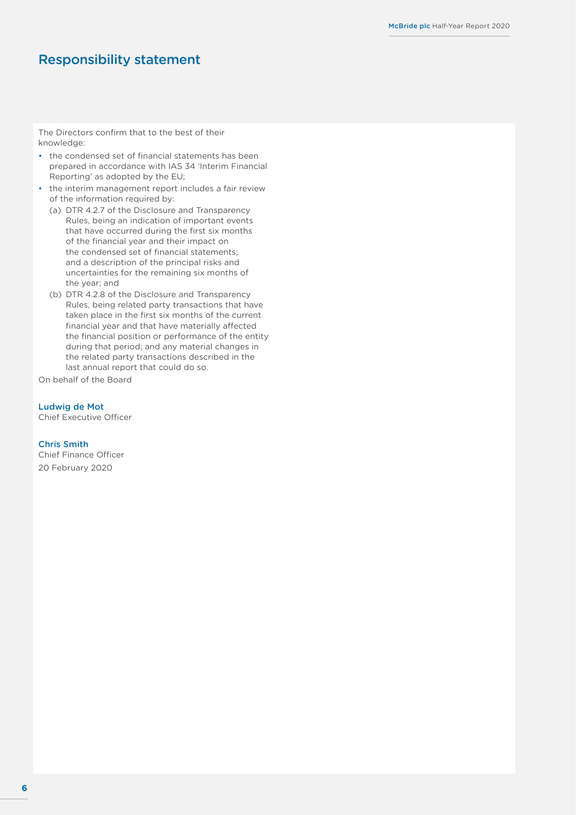## <span id="page-7-0"></span>Responsibility statement

The Directors confirm that to the best of their knowledge:

- the condensed set of financial statements has been prepared in accordance with IAS 34 'Interim Financial Reporting' as adopted by the EU;
- the interim management report includes a fair review of the information required by:
	- (a) DTR 4.2.7 of the Disclosure and Transparency Rules, being an indication of important events that have occurred during the first six months of the financial year and their impact on the condensed set of financial statements; and a description of the principal risks and uncertainties for the remaining six months of the year; and
	- (b) DTR 4.2.8 of the Disclosure and Transparency Rules, being related party transactions that have taken place in the first six months of the current financial year and that have materially affected the financial position or performance of the entity during that period; and any material changes in the related party transactions described in the last annual report that could do so.

On behalf of the Board

Ludwig de Mot

Chief Executive Officer

#### Chris Smith

Chief Finance Officer 20 February 2020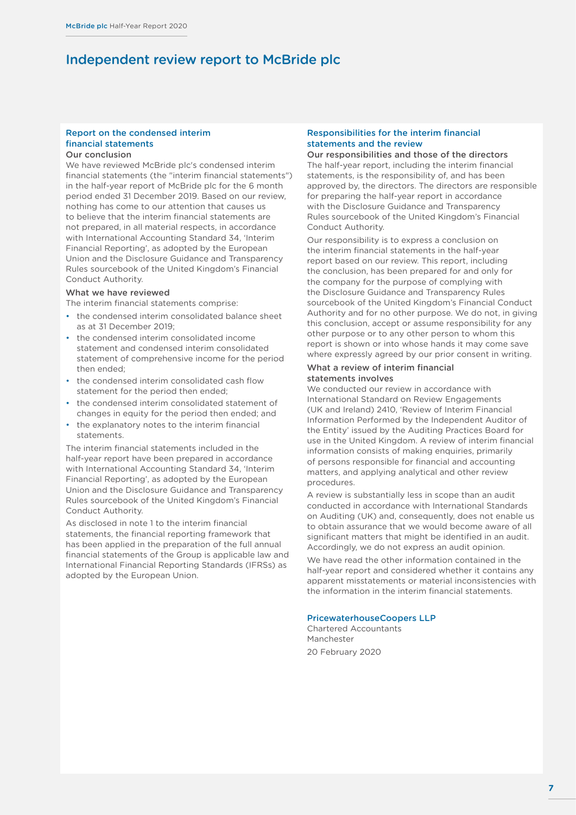## <span id="page-8-0"></span>Independent review report to McBride plc

#### Report on the condensed interim financial statements

#### Our conclusion

We have reviewed McBride plc's condensed interim financial statements (the "interim financial statements") in the half-year report of McBride plc for the 6 month period ended 31 December 2019. Based on our review, nothing has come to our attention that causes us to believe that the interim financial statements are not prepared, in all material respects, in accordance with International Accounting Standard 34, 'Interim Financial Reporting', as adopted by the European Union and the Disclosure Guidance and Transparency Rules sourcebook of the United Kingdom's Financial Conduct Authority.

#### What we have reviewed

The interim financial statements comprise:

- the condensed interim consolidated balance sheet as at 31 December 2019;
- the condensed interim consolidated income statement and condensed interim consolidated statement of comprehensive income for the period then ended;
- the condensed interim consolidated cash flow statement for the period then ended;
- the condensed interim consolidated statement of changes in equity for the period then ended; and
- the explanatory notes to the interim financial statements.

The interim financial statements included in the half-year report have been prepared in accordance with International Accounting Standard 34, 'Interim Financial Reporting', as adopted by the European Union and the Disclosure Guidance and Transparency Rules sourcebook of the United Kingdom's Financial Conduct Authority.

As disclosed in [note 1 t](#page-16-0)o the interim financial statements, the financial reporting framework that has been applied in the preparation of the full annual financial statements of the Group is applicable law and International Financial Reporting Standards (IFRSs) as adopted by the European Union.

#### Responsibilities for the interim financial statements and the review

Our responsibilities and those of the directors The half-year report, including the interim financial statements, is the responsibility of, and has been approved by, the directors. The directors are responsible for preparing the half-year report in accordance with the Disclosure Guidance and Transparency Rules sourcebook of the United Kingdom's Financial Conduct Authority.

Our responsibility is to express a conclusion on the interim financial statements in the half-year report based on our review. This report, including the conclusion, has been prepared for and only for the company for the purpose of complying with the Disclosure Guidance and Transparency Rules sourcebook of the United Kingdom's Financial Conduct Authority and for no other purpose. We do not, in giving this conclusion, accept or assume responsibility for any other purpose or to any other person to whom this report is shown or into whose hands it may come save where expressly agreed by our prior consent in writing.

#### What a review of interim financial statements involves

We conducted our review in accordance with International Standard on Review Engagements (UK and Ireland) 2410, 'Review of Interim Financial Information Performed by the Independent Auditor of the Entity' issued by the Auditing Practices Board for use in the United Kingdom. A review of interim financial information consists of making enquiries, primarily of persons responsible for financial and accounting matters, and applying analytical and other review procedures.

A review is substantially less in scope than an audit conducted in accordance with International Standards on Auditing (UK) and, consequently, does not enable us to obtain assurance that we would become aware of all significant matters that might be identified in an audit. Accordingly, we do not express an audit opinion.

We have read the other information contained in the half-year report and considered whether it contains any apparent misstatements or material inconsistencies with the information in the interim financial statements.

#### PricewaterhouseCoopers LLP

Chartered Accountants Manchester 20 February 2020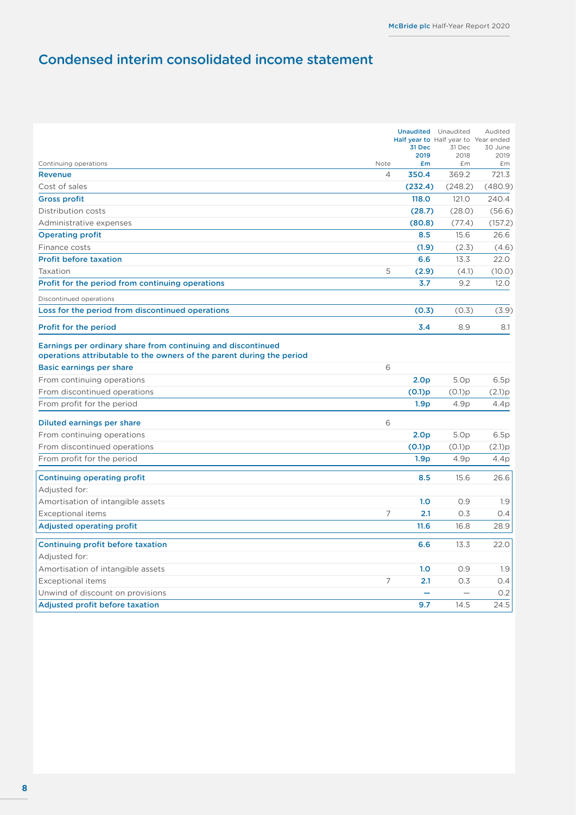## <span id="page-9-0"></span>Condensed interim consolidated income statement

|                                                                                                                                       |                | 31 Dec<br>2019   | <b>Unaudited</b> Unaudited<br>Half year to Half year to Year ended<br>31 Dec<br>2018 | Audited<br>30 June<br>2019 |
|---------------------------------------------------------------------------------------------------------------------------------------|----------------|------------------|--------------------------------------------------------------------------------------|----------------------------|
| Continuing operations                                                                                                                 | Note           | £m               | £m                                                                                   | £m                         |
| <b>Revenue</b>                                                                                                                        | $\overline{4}$ | 350.4            | 369.2                                                                                | 721.3                      |
| Cost of sales                                                                                                                         |                | (232.4)          | (248.2)                                                                              | (480.9)                    |
| <b>Gross profit</b>                                                                                                                   |                | 118.0            | 121.0                                                                                | 240.4                      |
| Distribution costs                                                                                                                    |                | (28.7)           | (28.0)                                                                               | (56.6)                     |
| Administrative expenses                                                                                                               |                | (80.8)           | (77.4)                                                                               | (157.2)                    |
| <b>Operating profit</b>                                                                                                               |                | 8.5              | 15.6                                                                                 | 26.6                       |
| Finance costs                                                                                                                         |                | (1.9)            | (2.3)                                                                                | (4.6)                      |
| <b>Profit before taxation</b>                                                                                                         |                | 6.6              | 13.3                                                                                 | 22.0                       |
| Taxation                                                                                                                              | 5              | (2.9)            | (4.1)                                                                                | (10.0)                     |
| Profit for the period from continuing operations                                                                                      |                | 3.7              | 9.2                                                                                  | 12.0                       |
| Discontinued operations                                                                                                               |                |                  |                                                                                      |                            |
| Loss for the period from discontinued operations                                                                                      |                | (0.3)            | (0.3)                                                                                | (3.9)                      |
| <b>Profit for the period</b>                                                                                                          |                | 3.4              | 8.9                                                                                  | 8.1                        |
| Earnings per ordinary share from continuing and discontinued<br>operations attributable to the owners of the parent during the period |                |                  |                                                                                      |                            |
| Basic earnings per share                                                                                                              | 6              |                  |                                                                                      |                            |
| From continuing operations                                                                                                            |                | 2.0 <sub>p</sub> | 5.0 <sub>p</sub>                                                                     | 6.5p                       |
| From discontinued operations                                                                                                          |                | (0.1)p           | (0.1)p                                                                               | (2.1)p                     |
| From profit for the period                                                                                                            |                | 1.9 <sub>p</sub> | 4.9p                                                                                 | 4.4p                       |
| Diluted earnings per share                                                                                                            | 6              |                  |                                                                                      |                            |
| From continuing operations                                                                                                            |                | 2.0 <sub>p</sub> | 5.0 <sub>p</sub>                                                                     | 6.5p                       |
| From discontinued operations                                                                                                          |                | (0.1)p           | (0.1)p                                                                               | (2.1)p                     |
| From profit for the period                                                                                                            |                | 1.9 <sub>p</sub> | 4.9p                                                                                 | 4.4p                       |
| <b>Continuing operating profit</b>                                                                                                    |                | 8.5              | 15.6                                                                                 | 26.6                       |
| Adjusted for:                                                                                                                         |                |                  |                                                                                      |                            |
| Amortisation of intangible assets                                                                                                     |                | 1.0              | 0.9                                                                                  | 1.9                        |
| <b>Exceptional items</b>                                                                                                              | 7              | 2.1              | 0.3                                                                                  | O.4                        |
| <b>Adjusted operating profit</b>                                                                                                      |                | 11.6             | 16.8                                                                                 | 28.9                       |
| Continuing profit before taxation                                                                                                     |                | 6.6              | 13.3                                                                                 | 22.0                       |
| Adjusted for:                                                                                                                         |                |                  |                                                                                      |                            |
| Amortisation of intangible assets                                                                                                     |                | 1.0              | 0.9                                                                                  | 1.9                        |
| <b>Exceptional items</b>                                                                                                              | 7              | 2.1              | 0.3                                                                                  | 0.4                        |
| Unwind of discount on provisions                                                                                                      |                |                  | $\qquad \qquad -$                                                                    | 0.2                        |
| <b>Adjusted profit before taxation</b>                                                                                                |                | 9.7              | 14.5                                                                                 | 24.5                       |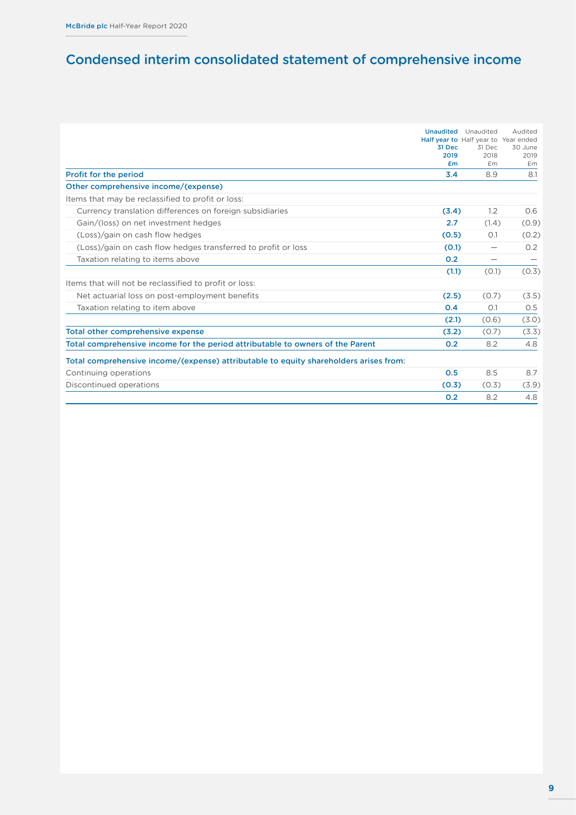## <span id="page-10-0"></span>Condensed interim consolidated statement of comprehensive income

|                                                                                       |                | <b>Unaudited</b> Unaudited           | Audited         |
|---------------------------------------------------------------------------------------|----------------|--------------------------------------|-----------------|
|                                                                                       |                | Half year to Half year to Year ended |                 |
|                                                                                       | 31 Dec<br>2019 | 31 Dec<br>2018                       | 30 June<br>2019 |
|                                                                                       | £ <sub>m</sub> | £m                                   | £m              |
| Profit for the period                                                                 | 3.4            | 8.9                                  | 8.1             |
| Other comprehensive income/(expense)                                                  |                |                                      |                 |
| Items that may be reclassified to profit or loss:                                     |                |                                      |                 |
| Currency translation differences on foreign subsidiaries                              | (3.4)          | 1.2                                  | O.6             |
| Gain/(loss) on net investment hedges                                                  | 2.7            | (1.4)                                | (0.9)           |
| (Loss)/gain on cash flow hedges                                                       | (0.5)          | O.1                                  | (0.2)           |
| (Loss)/gain on cash flow hedges transferred to profit or loss                         | (0.1)          | $\qquad \qquad$                      | 0.2             |
| Taxation relating to items above                                                      | O.2            | $\qquad \qquad \longleftarrow$       |                 |
|                                                                                       | (1.1)          | (0.1)                                | (0.3)           |
| Items that will not be reclassified to profit or loss:                                |                |                                      |                 |
| Net actuarial loss on post-employment benefits                                        | (2.5)          | (0.7)                                | (3.5)           |
| Taxation relating to item above                                                       | 0.4            | O.1                                  | 0.5             |
|                                                                                       | (2.1)          | (0.6)                                | (3.0)           |
| <b>Total other comprehensive expense</b>                                              | (3.2)          | (0.7)                                | (3.3)           |
| Total comprehensive income for the period attributable to owners of the Parent        | 0.2            | 8.2                                  | 4.8             |
| Total comprehensive income/(expense) attributable to equity shareholders arises from: |                |                                      |                 |
| Continuing operations                                                                 | 0.5            | 8.5                                  | 8.7             |
| Discontinued operations                                                               | (0.3)          | (0.3)                                | (3.9)           |
|                                                                                       | O.2            | 8.2                                  | 4.8             |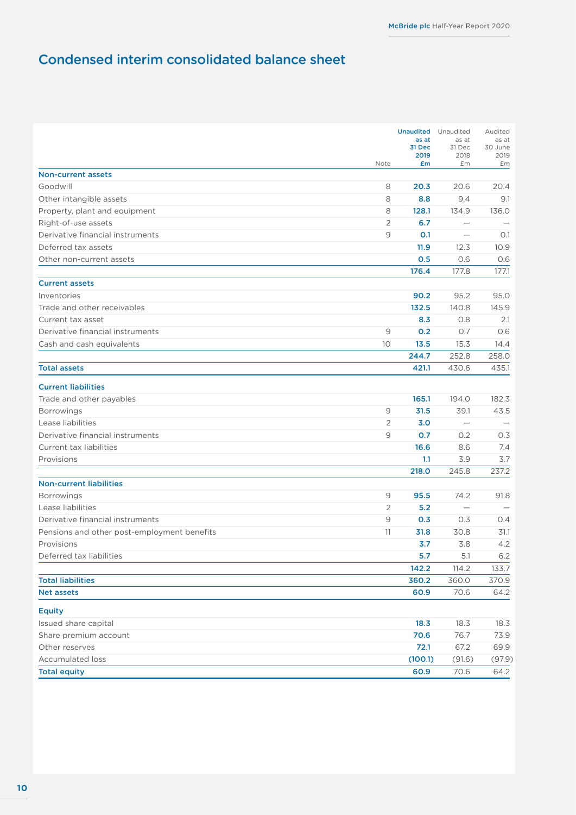## <span id="page-11-0"></span>Condensed interim consolidated balance sheet

|                                             | Note | <b>Unaudited</b> Unaudited<br>as at<br>31 Dec<br>2019<br>£m | as at<br>31 Dec<br>2018<br>£m | Audited<br>as at<br>30 June<br>2019<br>£m |
|---------------------------------------------|------|-------------------------------------------------------------|-------------------------------|-------------------------------------------|
| <b>Non-current assets</b>                   |      |                                                             |                               |                                           |
| Goodwill                                    | 8    | 20.3                                                        | 20.6                          | 20.4                                      |
| Other intangible assets                     | 8    | 8.8                                                         | 9.4                           | 9.1                                       |
| Property, plant and equipment               | 8    | 128.1                                                       | 134.9                         | 136.0                                     |
| Right-of-use assets                         | 2    | 6.7                                                         | $\overline{\phantom{0}}$      |                                           |
| Derivative financial instruments            | 9    | 0.1                                                         |                               | O.1                                       |
| Deferred tax assets                         |      | 11.9                                                        | 12.3                          | 10.9                                      |
| Other non-current assets                    |      | 0.5                                                         | 0.6                           | 0.6                                       |
|                                             |      | 176.4                                                       | 177.8                         | 177.1                                     |
| <b>Current assets</b>                       |      |                                                             |                               |                                           |
| Inventories                                 |      | 90.2                                                        | 95.2                          | 95.0                                      |
| Trade and other receivables                 |      | 132.5                                                       | 140.8                         | 145.9                                     |
| Current tax asset                           |      | 8.3                                                         | 0.8                           | 2.1                                       |
| Derivative financial instruments            | 9    | 0.2                                                         | 0.7                           | 0.6                                       |
| Cash and cash equivalents                   | 10   | 13.5                                                        | 15.3                          | 14.4                                      |
|                                             |      | 244.7                                                       | 252.8                         | 258.0                                     |
| <b>Total assets</b>                         |      | 421.1                                                       | 430.6                         | 435.1                                     |
| <b>Current liabilities</b>                  |      |                                                             |                               |                                           |
| Trade and other payables                    |      | 165.1                                                       | 194.0                         | 182.3                                     |
| <b>Borrowings</b>                           | 9    | 31.5                                                        | 39.1                          | 43.5                                      |
| Lease liabilities                           | 2    | 3.0                                                         | $\qquad \qquad -$             |                                           |
| Derivative financial instruments            | 9    | O.7                                                         | 0.2                           | 0.3                                       |
| Current tax liabilities                     |      | 16.6                                                        | 8.6                           | 7.4                                       |
| Provisions                                  |      | 1.1                                                         | 3.9                           | 3.7                                       |
|                                             |      | 218.0                                                       | 245.8                         | 237.2                                     |
| <b>Non-current liabilities</b>              |      |                                                             |                               |                                           |
| <b>Borrowings</b>                           | 9    | 95.5                                                        | 74.2                          | 91.8                                      |
| Lease liabilities                           | 2    | 5.2                                                         |                               |                                           |
| Derivative financial instruments            | 9    | 0.3                                                         | 0.3                           | 0.4                                       |
| Pensions and other post-employment benefits | 11   | 31.8                                                        | 30.8                          | 31.1                                      |
| Provisions                                  |      | 3.7                                                         | 3.8                           | 4.2                                       |
| Deferred tax liabilities                    |      | 5.7                                                         | 5.1                           | 6.2                                       |
|                                             |      | 142.2                                                       | 114.2                         | 133.7                                     |
| <b>Total liabilities</b>                    |      | 360.2                                                       | 360.0                         | 370.9                                     |
| <b>Net assets</b>                           |      | 60.9                                                        | 70.6                          | 64.2                                      |
| <b>Equity</b>                               |      |                                                             |                               |                                           |
| Issued share capital                        |      | 18.3                                                        | 18.3                          | 18.3                                      |
| Share premium account                       |      | 70.6                                                        | 76.7                          | 73.9                                      |
| Other reserves                              |      | 72.1                                                        | 67.2                          | 69.9                                      |
| <b>Accumulated loss</b>                     |      | (100.1)                                                     | (91.6)                        | (97.9)                                    |
| <b>Total equity</b>                         |      | 60.9                                                        | 70.6                          | 64.2                                      |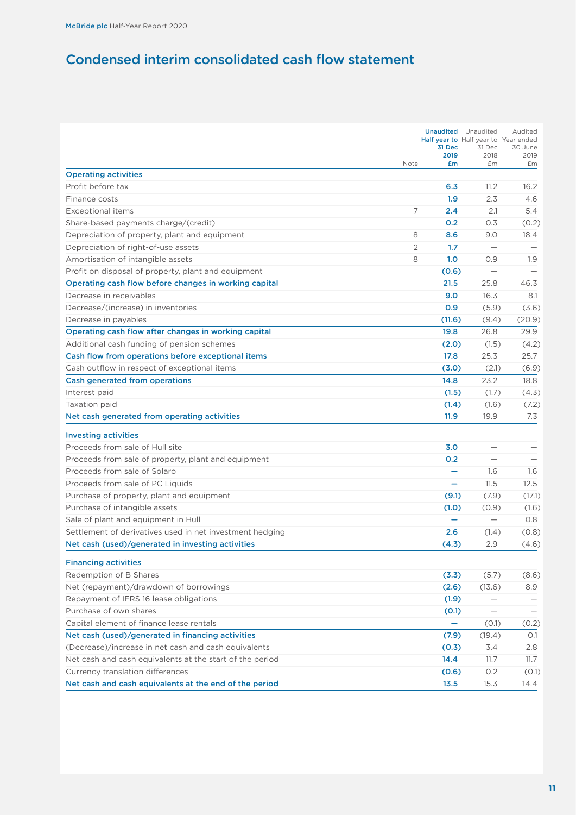## <span id="page-12-0"></span>Condensed interim consolidated cash flow statement

|                                                          |      | 31 Dec                   | <b>Unaudited</b> Unaudited<br>Half year to Half year to Year ended<br>31 Dec | Audited<br>30 June |
|----------------------------------------------------------|------|--------------------------|------------------------------------------------------------------------------|--------------------|
|                                                          |      | 2019                     | 2018                                                                         | 2019               |
| <b>Operating activities</b>                              | Note | £m                       | £m                                                                           | £m                 |
| Profit before tax                                        |      | 6.3                      | 11.2                                                                         | 16.2               |
| Finance costs                                            |      | 1.9                      | 2.3                                                                          | 4.6                |
| Exceptional items                                        | 7    | 2.4                      | 2.1                                                                          | 5.4                |
| Share-based payments charge/(credit)                     |      | O.2                      | 0.3                                                                          | (0.2)              |
| Depreciation of property, plant and equipment            | 8    | 8.6                      | 9.0                                                                          | 18.4               |
| Depreciation of right-of-use assets                      | 2    | 1.7                      | $\overline{\phantom{0}}$                                                     |                    |
| Amortisation of intangible assets                        | 8    | 1.0                      | 0.9                                                                          | 1.9                |
| Profit on disposal of property, plant and equipment      |      | (0.6)                    |                                                                              |                    |
| Operating cash flow before changes in working capital    |      | 21.5                     | 25.8                                                                         | 46.3               |
| Decrease in receivables                                  |      | 9.0                      | 16.3                                                                         | 8.1                |
| Decrease/(increase) in inventories                       |      | 0.9                      | (5.9)                                                                        | (3.6)              |
| Decrease in payables                                     |      | (11.6)                   | (9.4)                                                                        | (20.9)             |
| Operating cash flow after changes in working capital     |      | 19.8                     | 26.8                                                                         | 29.9               |
| Additional cash funding of pension schemes               |      | (2.0)                    | (1.5)                                                                        | (4.2)              |
| Cash flow from operations before exceptional items       |      | 17.8                     | 25.3                                                                         | 25.7               |
| Cash outflow in respect of exceptional items             |      | (3.0)                    | (2.1)                                                                        | (6.9)              |
| Cash generated from operations                           |      | 14.8                     | 23.2                                                                         | 18.8               |
| Interest paid                                            |      | (1.5)                    | (1.7)                                                                        | (4.3)              |
| Taxation paid                                            |      | (1.4)                    | (1.6)                                                                        | (7.2)              |
| Net cash generated from operating activities             |      | 11.9                     | 19.9                                                                         | 7.3                |
| <b>Investing activities</b>                              |      |                          |                                                                              |                    |
| Proceeds from sale of Hull site                          |      | 3.0                      | $\overline{\phantom{0}}$                                                     |                    |
| Proceeds from sale of property, plant and equipment      |      | O.2                      | $\qquad \qquad -$                                                            |                    |
| Proceeds from sale of Solaro                             |      | ÷                        | 1.6                                                                          | 1.6                |
| Proceeds from sale of PC Liquids                         |      | -                        | 11.5                                                                         | 12.5               |
| Purchase of property, plant and equipment                |      | (9.1)                    | (7.9)                                                                        | (17.1)             |
| Purchase of intangible assets                            |      | (1.0)                    | (0.9)                                                                        | (1.6)              |
| Sale of plant and equipment in Hull                      |      | $\overline{\phantom{0}}$ | $\qquad \qquad -$                                                            | O.8                |
| Settlement of derivatives used in net investment hedging |      | 2.6                      | (1.4)                                                                        | (0.8)              |
| Net cash (used)/generated in investing activities        |      | (4.3)                    | 2.9                                                                          | (4.6)              |
| <b>Financing activities</b>                              |      |                          |                                                                              |                    |
| Redemption of B Shares                                   |      | (3.3)                    | (5.7)                                                                        | (8.6)              |
| Net (repayment)/drawdown of borrowings                   |      | (2.6)                    | (13.6)                                                                       | 8.9                |
| Repayment of IFRS 16 lease obligations                   |      | (1.9)                    |                                                                              |                    |
| Purchase of own shares                                   |      | (0.1)                    | $\qquad \qquad$                                                              |                    |
| Capital element of finance lease rentals                 |      | -                        | (0.1)                                                                        | (0.2)              |
| Net cash (used)/generated in financing activities        |      | (7.9)                    | (19.4)                                                                       | 0.1                |
| (Decrease)/increase in net cash and cash equivalents     |      | (0.3)                    | 3.4                                                                          | 2.8                |
| Net cash and cash equivalents at the start of the period |      | 14.4                     | 11.7                                                                         | 11.7               |
| Currency translation differences                         |      | (0.6)                    | 0.2                                                                          | (0.1)              |
| Net cash and cash equivalents at the end of the period   |      | 13.5                     | 15.3                                                                         | 14.4               |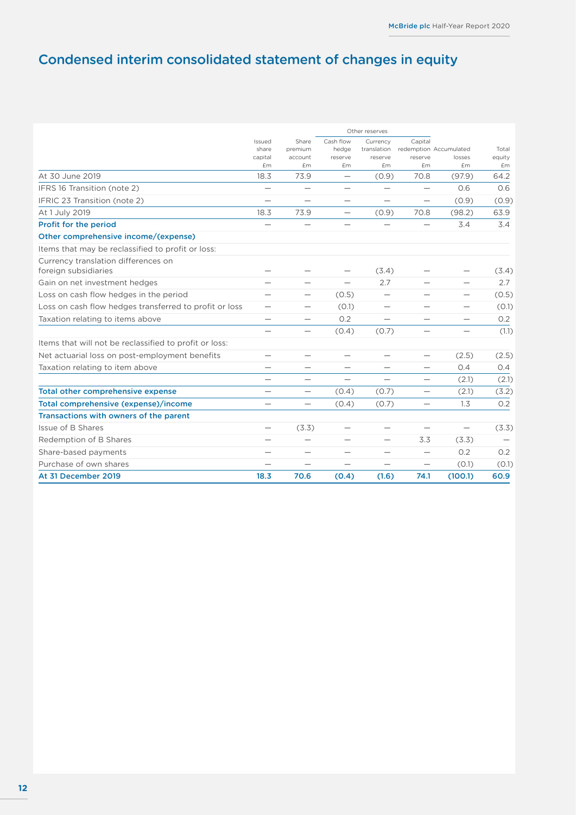## <span id="page-13-0"></span>Condensed interim consolidated statement of changes in equity

|                                                             | Other reserves                |                                 |                               |                          |                          |                        |        |
|-------------------------------------------------------------|-------------------------------|---------------------------------|-------------------------------|--------------------------|--------------------------|------------------------|--------|
|                                                             | Issued<br>share               | Share<br>premium                | Cash flow<br>hedge            | Currency<br>translation  | Capital                  | redemption Accumulated | Total  |
|                                                             | capital                       | account                         | reserve                       | reserve                  | reserve                  | losses                 | equity |
|                                                             | £m                            | £m                              | £m                            | £m                       | £m                       | £m                     | £m     |
| At 30 June 2019                                             | 18.3                          | 73.9                            |                               | (0.9)                    | 70.8                     | (97.9)                 | 64.2   |
| IFRS 16 Transition (note 2)                                 | $\overline{\phantom{0}}$      | $\overbrace{\phantom{1232211}}$ | $\qquad \qquad$               | $\qquad \qquad$          | $\overline{\phantom{0}}$ | 0.6                    | 0.6    |
| IFRIC 23 Transition (note 2)                                |                               |                                 |                               |                          |                          | (0.9)                  | (0.9)  |
| At 1 July 2019                                              | 18.3                          | 73.9                            | $\qquad \qquad -$             | (0.9)                    | 70.8                     | (98.2)                 | 63.9   |
| Profit for the period                                       |                               | $\overline{\phantom{0}}$        | $\overbrace{\phantom{12332}}$ |                          |                          | 3.4                    | 3.4    |
| Other comprehensive income/(expense)                        |                               |                                 |                               |                          |                          |                        |        |
| Items that may be reclassified to profit or loss:           |                               |                                 |                               |                          |                          |                        |        |
| Currency translation differences on<br>foreign subsidiaries |                               |                                 | $\qquad \qquad$               | (3.4)                    |                          | $\qquad \qquad$        | (3.4)  |
| Gain on net investment hedges                               |                               | $\overline{\phantom{0}}$        |                               | 2.7                      |                          | $\qquad \qquad$        | 2.7    |
| Loss on cash flow hedges in the period                      | $\overbrace{\phantom{12332}}$ | $\qquad \qquad$                 | (0.5)                         | $\qquad \qquad$          |                          | $\qquad \qquad$        | (0.5)  |
| Loss on cash flow hedges transferred to profit or loss      |                               | $\overline{\phantom{0}}$        | (0.1)                         | $\qquad \qquad$          |                          | $\qquad \qquad$        | (0.1)  |
| Taxation relating to items above                            |                               |                                 | 0.2                           | $\qquad \qquad$          | $\qquad \qquad$          | $\qquad \qquad -$      | 0.2    |
|                                                             |                               | $\qquad \qquad$                 | (0.4)                         | (0.7)                    |                          | $\qquad \qquad$        | (1.1)  |
| Items that will not be reclassified to profit or loss:      |                               |                                 |                               |                          |                          |                        |        |
| Net actuarial loss on post-employment benefits              | $\overline{\phantom{0}}$      | $\qquad \qquad$                 | $\qquad \qquad$               | $\overline{\phantom{0}}$ | $\qquad \qquad -$        | (2.5)                  | (2.5)  |
| Taxation relating to item above                             |                               | $\overbrace{\phantom{1232211}}$ | $\qquad \qquad$               | $\overline{\phantom{0}}$ | $\overline{\phantom{0}}$ | 0.4                    | 0.4    |
|                                                             |                               |                                 |                               |                          | $\overline{\phantom{0}}$ | (2.1)                  | (2.1)  |
| <b>Total other comprehensive expense</b>                    |                               | $\qquad \qquad$                 | (0.4)                         | (0.7)                    | $\overline{\phantom{0}}$ | (2.1)                  | (3.2)  |
| Total comprehensive (expense)/income                        |                               | $\qquad \qquad$                 | (0.4)                         | (0.7)                    | $\overline{\phantom{0}}$ | 1.3                    | O.2    |
| Transactions with owners of the parent                      |                               |                                 |                               |                          |                          |                        |        |
| Issue of B Shares                                           | $\qquad \qquad$               | (3.3)                           | $\qquad \qquad$               | $\overline{\phantom{0}}$ | $\overline{\phantom{0}}$ | $\qquad \qquad -$      | (3.3)  |
| Redemption of B Shares                                      |                               |                                 |                               |                          | 3.3                      | (3.3)                  |        |
| Share-based payments                                        | $\overline{\phantom{0}}$      | $\overline{\phantom{0}}$        | $\overline{\phantom{0}}$      | $\overline{\phantom{0}}$ | $\overline{\phantom{0}}$ | 0.2                    | O.2    |
| Purchase of own shares                                      |                               |                                 |                               |                          |                          | (0.1)                  | (0.1)  |
| At 31 December 2019                                         | 18.3                          | 70.6                            | (0.4)                         | (1.6)                    | 74.1                     | (100.1)                | 60.9   |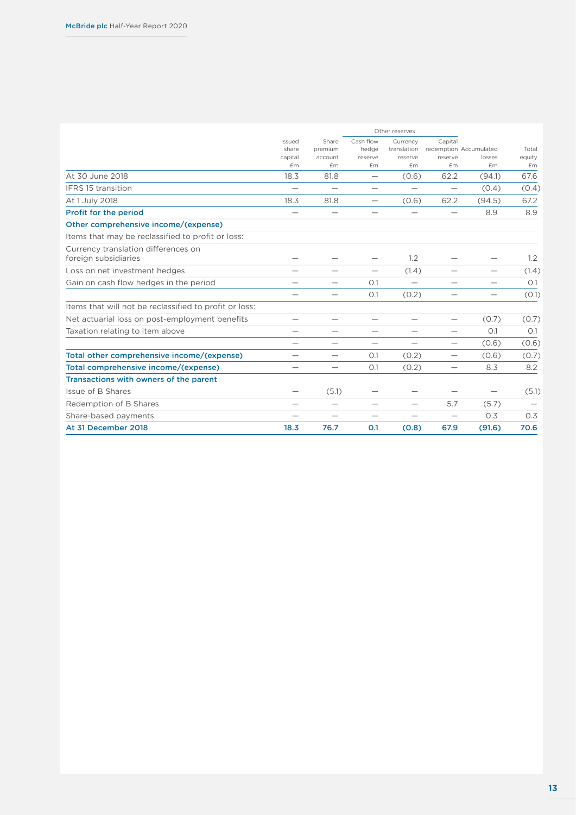|                                                             | Other reserves             |                                  |                                 |                                    |                          |                                  |                 |
|-------------------------------------------------------------|----------------------------|----------------------------------|---------------------------------|------------------------------------|--------------------------|----------------------------------|-----------------|
|                                                             | Issued<br>share<br>capital | Share<br>premium<br>account      | Cash flow<br>hedge<br>reserve   | Currency<br>translation<br>reserve | Capital<br>reserve       | redemption Accumulated<br>losses | Total<br>equity |
|                                                             | <b>£m</b>                  | Em                               | £m                              | <b>£m</b>                          | Em                       | £m                               | £m              |
| At 30 June 2018                                             | 18.3                       | 81.8                             | $\overline{\phantom{0}}$        | (0.6)                              | 62.2                     | (94.1)                           | 67.6            |
| <b>IFRS 15 transition</b>                                   |                            |                                  | $\hspace{0.1mm}-\hspace{0.1mm}$ |                                    | $\overline{\phantom{0}}$ | (0.4)                            | (0.4)           |
| At 1 July 2018                                              | 18.3                       | 81.8                             | $\overline{\phantom{0}}$        | (0.6)                              | 62.2                     | (94.5)                           | 67.2            |
| Profit for the period                                       | -                          |                                  | $\overline{\phantom{0}}$        |                                    |                          | 8.9                              | 8.9             |
| Other comprehensive income/(expense)                        |                            |                                  |                                 |                                    |                          |                                  |                 |
| Items that may be reclassified to profit or loss:           |                            |                                  |                                 |                                    |                          |                                  |                 |
| Currency translation differences on<br>foreign subsidiaries |                            |                                  |                                 | 1.2                                |                          |                                  | 1.2             |
| Loss on net investment hedges                               |                            |                                  |                                 | (1.4)                              |                          | $\qquad \qquad$                  | (1.4)           |
| Gain on cash flow hedges in the period                      | $\overline{\phantom{0}}$   | $\overbrace{\phantom{12322111}}$ | O.1                             |                                    | $\overline{\phantom{0}}$ |                                  | O.1             |
|                                                             | -                          | $\overbrace{\phantom{12322111}}$ | O.1                             | (0.2)                              | $\overline{\phantom{0}}$ | $\qquad \qquad$                  | (0.1)           |
| Items that will not be reclassified to profit or loss:      |                            |                                  |                                 |                                    |                          |                                  |                 |
| Net actuarial loss on post-employment benefits              | $\overline{\phantom{0}}$   | $\overline{\phantom{0}}$         |                                 |                                    | $\overline{\phantom{0}}$ | (0.7)                            | (0.7)           |
| Taxation relating to item above                             |                            |                                  |                                 |                                    |                          | O.1                              | O.1             |
|                                                             |                            |                                  |                                 | $\overline{\phantom{0}}$           | $\qquad \qquad$          | (0.6)                            | (0.6)           |
| Total other comprehensive income/(expense)                  |                            | $\overline{\phantom{0}}$         | O.1                             | (0.2)                              | $\overline{\phantom{0}}$ | (0.6)                            | (0.7)           |
| Total comprehensive income/(expense)                        | $\overline{\phantom{0}}$   | $\qquad \qquad$                  | O.1                             | (0.2)                              | $\qquad \qquad -$        | 8.3                              | 8.2             |
| Transactions with owners of the parent                      |                            |                                  |                                 |                                    |                          |                                  |                 |
| Issue of B Shares                                           | $\overline{\phantom{0}}$   | (5.1)                            |                                 |                                    |                          | $\qquad \qquad$                  | (5.1)           |
| Redemption of B Shares                                      | $\overline{\phantom{0}}$   | $\overline{\phantom{0}}$         |                                 |                                    | 5.7                      | (5.7)                            |                 |
| Share-based payments                                        |                            | $\overline{\phantom{0}}$         |                                 |                                    | $\overline{\phantom{0}}$ | 0.3                              | 0.3             |
| At 31 December 2018                                         | 18.3                       | 76.7                             | O.1                             | (0.8)                              | 67.9                     | (91.6)                           | 70.6            |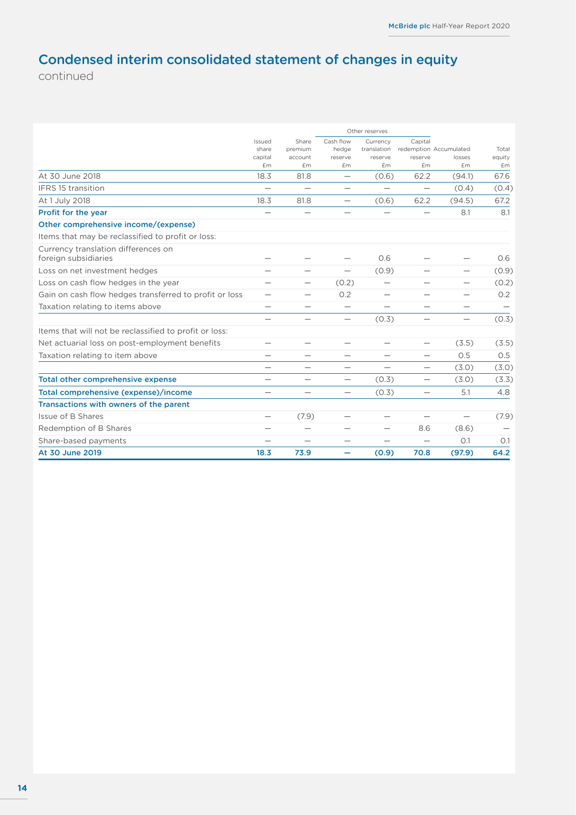## Condensed interim consolidated statement of changes in equity

continued

|                                                             |                            |                                 | Other reserves                |                                    |                          |                                  |                 |  |
|-------------------------------------------------------------|----------------------------|---------------------------------|-------------------------------|------------------------------------|--------------------------|----------------------------------|-----------------|--|
|                                                             | Issued<br>share<br>capital | Share<br>premium<br>account     | Cash flow<br>hedge<br>reserve | Currency<br>translation<br>reserve | Capital<br>reserve       | redemption Accumulated<br>losses | Total<br>equity |  |
|                                                             | £m                         | £m                              | £m                            | £m                                 | £m                       | £m                               | £m              |  |
| At 30 June 2018                                             | 18.3                       | 81.8                            | $\qquad \qquad$               | (0.6)                              | 62.2                     | (94.1)                           | 67.6            |  |
| IFRS 15 transition                                          | $\overline{\phantom{0}}$   |                                 | $\qquad \qquad$               |                                    | $\qquad \qquad -$        | (0.4)                            | (0.4)           |  |
| At 1 July 2018                                              | 18.3                       | 81.8                            | $\qquad \qquad -$             | (0.6)                              | 62.2                     | (94.5)                           | 67.2            |  |
| Profit for the year                                         |                            |                                 |                               |                                    |                          | 8.1                              | 8.1             |  |
| Other comprehensive income/(expense)                        |                            |                                 |                               |                                    |                          |                                  |                 |  |
| Items that may be reclassified to profit or loss:           |                            |                                 |                               |                                    |                          |                                  |                 |  |
| Currency translation differences on<br>foreign subsidiaries |                            |                                 |                               | 0.6                                |                          | $\overline{\phantom{0}}$         | 0.6             |  |
| Loss on net investment hedges                               |                            |                                 |                               | (0.9)                              |                          |                                  | (0.9)           |  |
| Loss on cash flow hedges in the year                        | $\overline{\phantom{0}}$   | $\overline{\phantom{0}}$        | (0.2)                         | $\qquad \qquad$                    |                          | $\qquad \qquad$                  | (0.2)           |  |
| Gain on cash flow hedges transferred to profit or loss      | $\qquad \qquad$            | $\qquad \qquad$                 | 0.2                           | $\qquad \qquad$                    | $\overline{\phantom{0}}$ | $\qquad \qquad -$                | O.2             |  |
| Taxation relating to items above                            |                            | $\overline{\phantom{0}}$        |                               |                                    | $\overline{\phantom{0}}$ | $\overline{\phantom{0}}$         |                 |  |
|                                                             |                            |                                 | $\qquad \qquad$               | (0.3)                              | $\overline{\phantom{0}}$ | $\qquad \qquad$                  | (0.3)           |  |
| Items that will not be reclassified to profit or loss:      |                            |                                 |                               |                                    |                          |                                  |                 |  |
| Net actuarial loss on post-employment benefits              | $\qquad \qquad$            | $\overline{\phantom{0}}$        | $\overbrace{\phantom{12332}}$ |                                    | $\qquad \qquad$          | (3.5)                            | (3.5)           |  |
| Taxation relating to item above                             | $\overline{\phantom{0}}$   | $\overline{\phantom{0}}$        | $\qquad \qquad$               |                                    |                          | 0.5                              | 0.5             |  |
|                                                             | $\overline{\phantom{0}}$   | $\qquad \qquad$                 | $\qquad \qquad$               | $\qquad \qquad$                    | $\qquad \qquad$          | (3.0)                            | (3.0)           |  |
| <b>Total other comprehensive expense</b>                    | $\overline{\phantom{0}}$   | $\overbrace{\phantom{1232211}}$ | $\qquad \qquad -$             | (0.3)                              | $\overline{\phantom{0}}$ | (3.0)                            | (3.3)           |  |
| Total comprehensive (expense)/income                        | $\overline{\phantom{0}}$   |                                 | $\qquad \qquad$               | (0.3)                              |                          | 5.1                              | 4.8             |  |
| Transactions with owners of the parent                      |                            |                                 |                               |                                    |                          |                                  |                 |  |
| Issue of B Shares                                           | $\qquad \qquad -$          | (7.9)                           | $\qquad \qquad$               |                                    | $\qquad \qquad$          | $\overline{\phantom{0}}$         | (7.9)           |  |
| Redemption of B Shares                                      | $\overline{\phantom{0}}$   |                                 | $\qquad \qquad$               | $\hspace{0.1mm}-\hspace{0.1mm}$    | 8.6                      | (8.6)                            |                 |  |
| Share-based payments                                        |                            |                                 |                               |                                    |                          | O.1                              | O.1             |  |
| At 30 June 2019                                             | 18.3                       | 73.9                            | -                             | (0.9)                              | 70.8                     | (97.9)                           | 64.2            |  |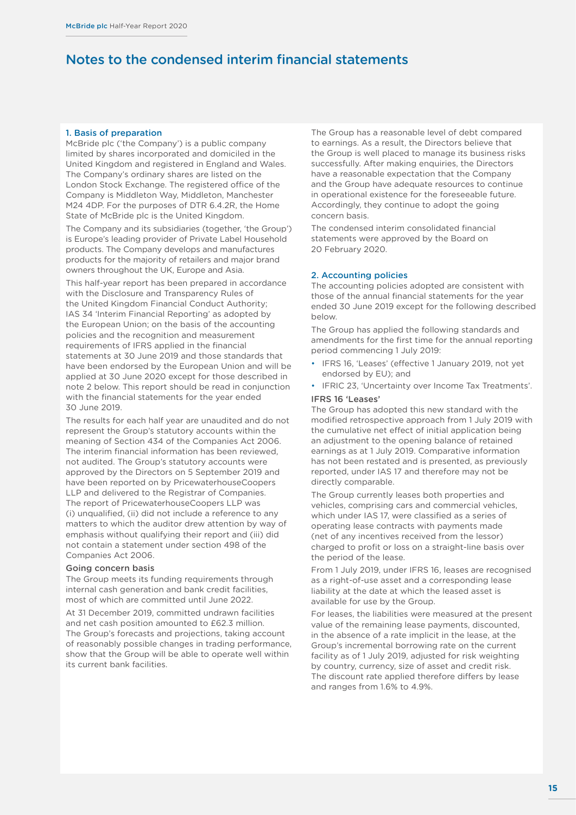#### <span id="page-16-0"></span>1. Basis of preparation

McBride plc ('the Company') is a public company limited by shares incorporated and domiciled in the United Kingdom and registered in England and Wales. The Company's ordinary shares are listed on the London Stock Exchange. The registered office of the Company is Middleton Way, Middleton, Manchester M24 4DP. For the purposes of DTR 6.4.2R, the Home State of McBride plc is the United Kingdom.

The Company and its subsidiaries (together, 'the Group') is Europe's leading provider of Private Label Household products. The Company develops and manufactures products for the majority of retailers and major brand owners throughout the UK, Europe and Asia.

This half-year report has been prepared in accordance with the Disclosure and Transparency Rules of the United Kingdom Financial Conduct Authority; IAS 34 'Interim Financial Reporting' as adopted by the European Union; on the basis of the accounting policies and the recognition and measurement requirements of IFRS applied in the financial statements at 30 June 2019 and those standards that have been endorsed by the European Union and will be applied at 30 June 2020 except for those described in note 2 below. This report should be read in conjunction with the financial statements for the year ended 30 June 2019.

The results for each half year are unaudited and do not represent the Group's statutory accounts within the meaning of Section 434 of the Companies Act 2006. The interim financial information has been reviewed, not audited. The Group's statutory accounts were approved by the Directors on 5 September 2019 and have been reported on by PricewaterhouseCoopers LLP and delivered to the Registrar of Companies. The report of PricewaterhouseCoopers LLP was (i) unqualified, (ii) did not include a reference to any matters to which the auditor drew attention by way of emphasis without qualifying their report and (iii) did not contain a statement under section 498 of the Companies Act 2006.

#### Going concern basis

The Group meets its funding requirements through internal cash generation and bank credit facilities, most of which are committed until June 2022.

At 31 December 2019, committed undrawn facilities and net cash position amounted to £62.3 million. The Group's forecasts and projections, taking account of reasonably possible changes in trading performance, show that the Group will be able to operate well within its current bank facilities.

The Group has a reasonable level of debt compared to earnings. As a result, the Directors believe that the Group is well placed to manage its business risks successfully. After making enquiries, the Directors have a reasonable expectation that the Company and the Group have adequate resources to continue in operational existence for the foreseeable future. Accordingly, they continue to adopt the going concern basis.

The condensed interim consolidated financial statements were approved by the Board on 20 February 2020.

#### 2. Accounting policies

The accounting policies adopted are consistent with those of the annual financial statements for the year ended 30 June 2019 except for the following described below.

The Group has applied the following standards and amendments for the first time for the annual reporting period commencing 1 July 2019:

- IFRS 16, 'Leases' (effective 1 January 2019, not yet endorsed by EU); and
- IFRIC 23, 'Uncertainty over Income Tax Treatments'.

#### IFRS 16 'Leases'

The Group has adopted this new standard with the modified retrospective approach from 1 July 2019 with the cumulative net effect of initial application being an adjustment to the opening balance of retained earnings as at 1 July 2019. Comparative information has not been restated and is presented, as previously reported, under IAS 17 and therefore may not be directly comparable.

The Group currently leases both properties and vehicles, comprising cars and commercial vehicles, which under IAS 17, were classified as a series of operating lease contracts with payments made (net of any incentives received from the lessor) charged to profit or loss on a straight-line basis over the period of the lease.

From 1 July 2019, under IFRS 16, leases are recognised as a right-of-use asset and a corresponding lease liability at the date at which the leased asset is available for use by the Group.

For leases, the liabilities were measured at the present value of the remaining lease payments, discounted, in the absence of a rate implicit in the lease, at the Group's incremental borrowing rate on the current facility as of 1 July 2019, adjusted for risk weighting by country, currency, size of asset and credit risk. The discount rate applied therefore differs by lease and ranges from 1.6% to 4.9%.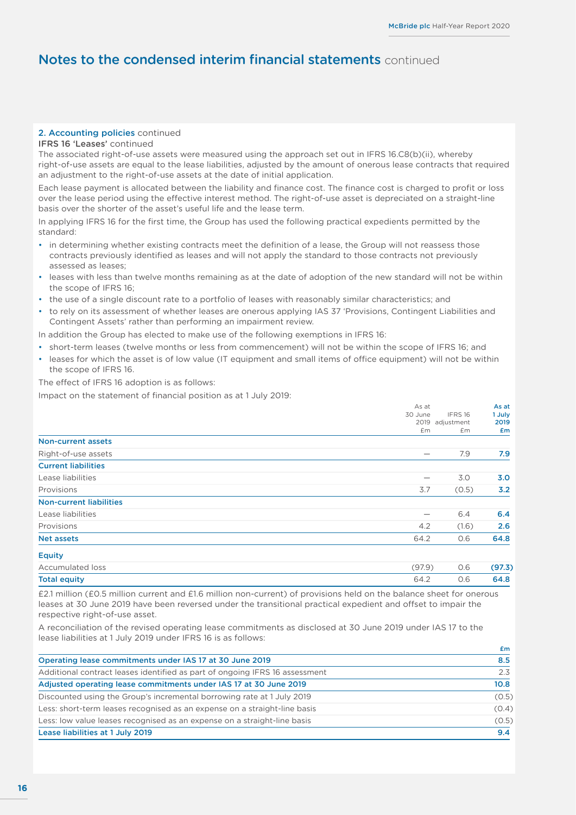#### 2. Accounting policies continued

#### IFRS 16 'Leases' continued

The associated right-of-use assets were measured using the approach set out in IFRS 16.C8(b)(ii), whereby right-of-use assets are equal to the lease liabilities, adjusted by the amount of onerous lease contracts that required an adjustment to the right-of-use assets at the date of initial application.

Each lease payment is allocated between the liability and finance cost. The finance cost is charged to profit or loss over the lease period using the effective interest method. The right-of-use asset is depreciated on a straight-line basis over the shorter of the asset's useful life and the lease term.

In applying IFRS 16 for the first time, the Group has used the following practical expedients permitted by the standard:

- in determining whether existing contracts meet the definition of a lease, the Group will not reassess those contracts previously identified as leases and will not apply the standard to those contracts not previously assessed as leases;
- leases with less than twelve months remaining as at the date of adoption of the new standard will not be within the scope of IFRS 16;
- the use of a single discount rate to a portfolio of leases with reasonably similar characteristics; and
- to rely on its assessment of whether leases are onerous applying IAS 37 'Provisions, Contingent Liabilities and Contingent Assets' rather than performing an impairment review.

In addition the Group has elected to make use of the following exemptions in IFRS 16:

- short-term leases (twelve months or less from commencement) will not be within the scope of IFRS 16; and
- leases for which the asset is of low value (IT equipment and small items of office equipment) will not be within the scope of IFRS 16.

The effect of IFRS 16 adoption is as follows:

Impact on the statement of financial position as at 1 July 2019:

|                                | As at                    |                 | As at  |
|--------------------------------|--------------------------|-----------------|--------|
|                                | 30 June                  | IFRS 16         | 1 July |
|                                |                          | 2019 adjustment | 2019   |
|                                | £m                       | £m              | £m     |
| <b>Non-current assets</b>      |                          |                 |        |
| Right-of-use assets            | $\overline{\phantom{0}}$ | 7.9             | 7.9    |
| <b>Current liabilities</b>     |                          |                 |        |
| Lease liabilities              |                          | 3.0             | 3.0    |
| Provisions                     | 3.7                      | (0.5)           | 3.2    |
| <b>Non-current liabilities</b> |                          |                 |        |
| Lease liabilities              | $\overline{\phantom{0}}$ | 6.4             | 6.4    |
| Provisions                     | 4.2                      | (1.6)           | 2.6    |
| <b>Net assets</b>              | 64.2                     | 0.6             | 64.8   |
| <b>Equity</b>                  |                          |                 |        |

| loss<br>umulated<br>Acc<br>. | (97.9)                 | ∼<br>v.v | 97.3) |
|------------------------------|------------------------|----------|-------|
| <b>Total equity</b>          | $\overline{A}$<br>64.∠ | v.v      | 64.8  |

£2.1 million (£0.5 million current and £1.6 million non-current) of provisions held on the balance sheet for onerous leases at 30 June 2019 have been reversed under the transitional practical expedient and offset to impair the respective right-of-use asset.

A reconciliation of the revised operating lease commitments as disclosed at 30 June 2019 under IAS 17 to the lease liabilities at 1 July 2019 under IFRS 16 is as follows:

|                                                                             | Em    |
|-----------------------------------------------------------------------------|-------|
| Operating lease commitments under IAS 17 at 30 June 2019                    | 8.5   |
| Additional contract leases identified as part of ongoing IFRS 16 assessment | 2.3   |
| Adjusted operating lease commitments under IAS 17 at 30 June 2019           | 10.8  |
| Discounted using the Group's incremental borrowing rate at 1 July 2019      | (0.5) |
| Less: short-term leases recognised as an expense on a straight-line basis   | (0.4) |
| Less: low value leases recognised as an expense on a straight-line basis    | (0.5) |
| Lease liabilities at 1 July 2019                                            | 9.4   |
|                                                                             |       |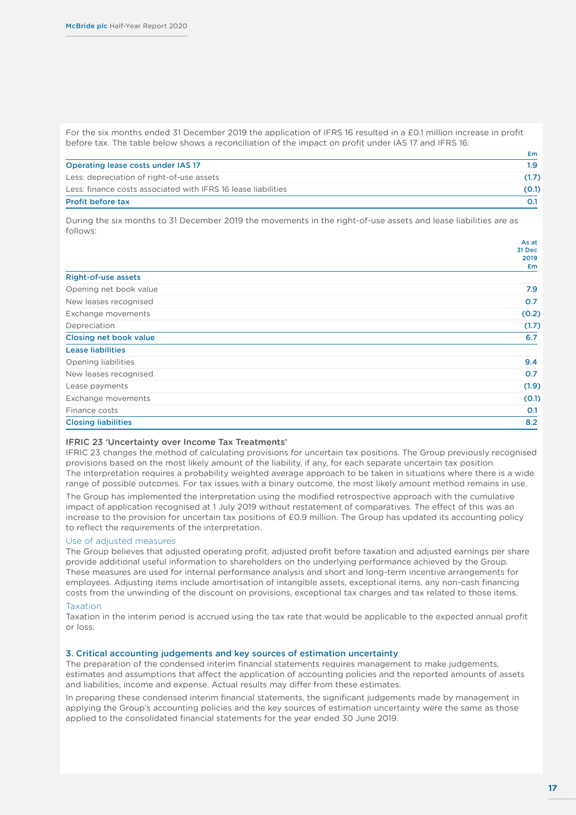For the six months ended 31 December 2019 the application of IFRS 16 resulted in a £0.1 million increase in profit before tax. The table below shows a reconciliation of the impact on profit under IAS 17 and IFRS 16:

|                                                               | £m.   |
|---------------------------------------------------------------|-------|
| Operating lease costs under IAS 17                            | 1.9   |
| Less: depreciation of right-of-use assets                     | (1.7) |
| Less: finance costs associated with IFRS 16 lease liabilities | (O.1) |
| <b>Profit before tax</b>                                      |       |

During the six months to 31 December 2019 the movements in the right-of-use assets and lease liabilities are as follows:

|                            | AS dl  |
|----------------------------|--------|
|                            | 31 Dec |
|                            | 2019   |
|                            | £m     |
| <b>Right-of-use assets</b> |        |
| Opening net book value     | 7.9    |
| New leases recognised      | 0.7    |
| Exchange movements         | (0.2)  |
| Depreciation               | (1.7)  |
| Closing net book value     | 6.7    |
| <b>Lease liabilities</b>   |        |
| Opening liabilities        | 9.4    |
| New leases recognised      | 0.7    |
| Lease payments             | (1.9)  |
| Exchange movements         | (0.1)  |
| Finance costs              | O.1    |
| <b>Closing liabilities</b> | 8.2    |
|                            |        |

#### IFRIC 23 'Uncertainty over Income Tax Treatments'

IFRIC 23 changes the method of calculating provisions for uncertain tax positions. The Group previously recognised provisions based on the most likely amount of the liability, if any, for each separate uncertain tax position. The interpretation requires a probability weighted average approach to be taken in situations where there is a wide range of possible outcomes. For tax issues with a binary outcome, the most likely amount method remains in use.

The Group has implemented the interpretation using the modified retrospective approach with the cumulative impact of application recognised at 1 July 2019 without restatement of comparatives. The effect of this was an increase to the provision for uncertain tax positions of £0.9 million. The Group has updated its accounting policy to reflect the requirements of the interpretation.

#### Use of adjusted measures

The Group believes that adjusted operating profit, adjusted profit before taxation and adjusted earnings per share provide additional useful information to shareholders on the underlying performance achieved by the Group. These measures are used for internal performance analysis and short and long-term incentive arrangements for employees. Adjusting items include amortisation of intangible assets, exceptional items, any non-cash financing costs from the unwinding of the discount on provisions, exceptional tax charges and tax related to those items.

#### Taxation

Taxation in the interim period is accrued using the tax rate that would be applicable to the expected annual profit or loss.

#### 3. Critical accounting judgements and key sources of estimation uncertainty

The preparation of the condensed interim financial statements requires management to make judgements, estimates and assumptions that affect the application of accounting policies and the reported amounts of assets and liabilities, income and expense. Actual results may differ from these estimates.

In preparing these condensed interim financial statements, the significant judgements made by management in applying the Group's accounting policies and the key sources of estimation uncertainty were the same as those applied to the consolidated financial statements for the year ended 30 June 2019.

As at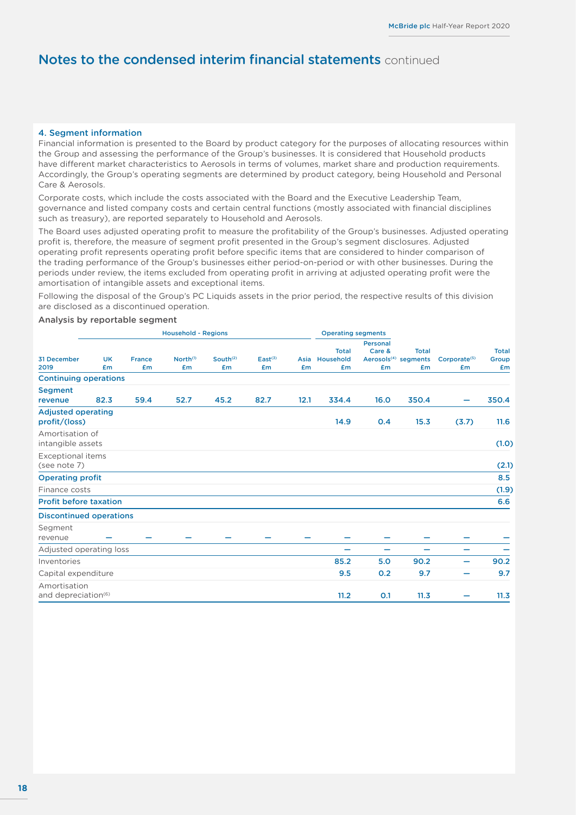#### <span id="page-19-0"></span>4. Segment information

Financial information is presented to the Board by product category for the purposes of allocating resources within the Group and assessing the performance of the Group's businesses. It is considered that Household products have different market characteristics to Aerosols in terms of volumes, market share and production requirements. Accordingly, the Group's operating segments are determined by product category, being Household and Personal Care & Aerosols.

Corporate costs, which include the costs associated with the Board and the Executive Leadership Team, governance and listed company costs and certain central functions (mostly associated with financial disciplines such as treasury), are reported separately to Household and Aerosols.

The Board uses adjusted operating profit to measure the profitability of the Group's businesses. Adjusted operating profit is, therefore, the measure of segment profit presented in the Group's segment disclosures. Adjusted operating profit represents operating profit before specific items that are considered to hinder comparison of the trading performance of the Group's businesses either period-on-period or with other businesses. During the periods under review, the items excluded from operating profit in arriving at adjusted operating profit were the amortisation of intangible assets and exceptional items.

Following the disposal of the Group's PC Liquids assets in the prior period, the respective results of this division are disclosed as a discontinued operation.

#### Analysis by reportable segment

|                                                 | <b>Household - Regions</b>  |                     |                            |                            |                           | <b>Operating segments</b> |                                 |                          |                                                        |                                |                             |
|-------------------------------------------------|-----------------------------|---------------------|----------------------------|----------------------------|---------------------------|---------------------------|---------------------------------|--------------------------|--------------------------------------------------------|--------------------------------|-----------------------------|
| 31 December<br>2019                             | <b>UK</b><br>£ <sub>m</sub> | <b>France</b><br>£m | North <sup>(1)</sup><br>£m | South <sup>(2)</sup><br>£m | East <sup>(3)</sup><br>Em | Asia<br>£m                | <b>Total</b><br>Household<br>£m | Personal<br>Care &<br>£m | <b>Total</b><br>Aerosols <sup>(4)</sup> segments<br>£m | Corporate <sup>(5)</sup><br>£m | <b>Total</b><br>Group<br>£m |
| <b>Continuing operations</b>                    |                             |                     |                            |                            |                           |                           |                                 |                          |                                                        |                                |                             |
| <b>Segment</b><br>revenue                       | 82.3                        | 59.4                | 52.7                       | 45.2                       | 82.7                      | 12.1                      | 334.4                           | 16.0                     | 350.4                                                  |                                | 350.4                       |
| <b>Adjusted operating</b><br>profit/(loss)      |                             |                     |                            |                            |                           |                           | 14.9                            | 0.4                      | 15.3                                                   | (3.7)                          | 11.6                        |
| Amortisation of<br>intangible assets            |                             |                     |                            |                            |                           |                           |                                 |                          |                                                        |                                | (1.0)                       |
| <b>Exceptional items</b><br>(see note 7)        |                             |                     |                            |                            |                           |                           |                                 |                          |                                                        |                                | (2.1)                       |
| <b>Operating profit</b>                         |                             |                     |                            |                            |                           |                           |                                 |                          |                                                        |                                | 8.5                         |
| Finance costs                                   |                             |                     |                            |                            |                           |                           |                                 |                          |                                                        |                                | (1.9)                       |
| <b>Profit before taxation</b>                   |                             |                     |                            |                            |                           |                           |                                 |                          |                                                        |                                | 6.6                         |
| <b>Discontinued operations</b>                  |                             |                     |                            |                            |                           |                           |                                 |                          |                                                        |                                |                             |
| Segment<br>revenue                              |                             |                     |                            |                            |                           |                           |                                 |                          |                                                        |                                |                             |
| Adjusted operating loss                         |                             |                     |                            |                            |                           |                           | -                               |                          |                                                        |                                |                             |
| Inventories                                     |                             |                     |                            |                            |                           |                           | 85.2                            | 5.0                      | 90.2                                                   | -                              | 90.2                        |
| Capital expenditure                             |                             |                     |                            |                            |                           |                           | 9.5                             | O.2                      | 9.7                                                    | -                              | 9.7                         |
| Amortisation<br>and depreciation <sup>(6)</sup> |                             |                     |                            |                            |                           |                           | 11.2                            | 0.1                      | 11.3                                                   |                                | 11.3                        |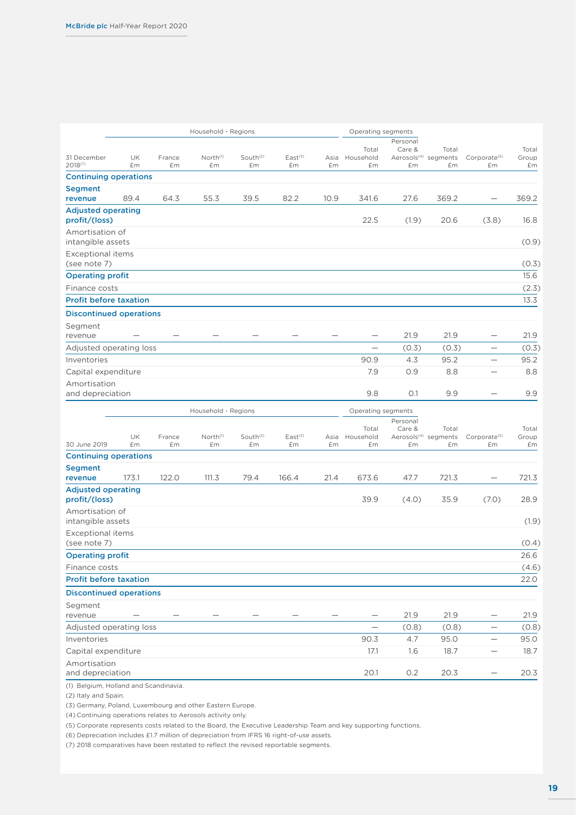|                                            |          |              | Household - Regions        |                            |                           |            | Operating segments       |                          |                                                 |                                |                      |
|--------------------------------------------|----------|--------------|----------------------------|----------------------------|---------------------------|------------|--------------------------|--------------------------|-------------------------------------------------|--------------------------------|----------------------|
| 31 December<br>2018(7)                     | UK<br>£m | France<br>£m | North <sup>(1)</sup><br>£m | South <sup>(2)</sup><br>£m | East <sup>(3)</sup><br>£m | Asia<br>£m | Total<br>Household<br>£m | Personal<br>Care &<br>£m | Total<br>Aerosols <sup>(4)</sup> segments<br>£m | Corporate <sup>(5)</sup><br>£m | Total<br>Group<br>£m |
| <b>Continuing operations</b>               |          |              |                            |                            |                           |            |                          |                          |                                                 |                                |                      |
| <b>Segment</b>                             |          |              |                            |                            |                           |            |                          |                          |                                                 |                                |                      |
| revenue                                    | 89.4     | 64.3         | 55.3                       | 39.5                       | 82.2                      | 10.9       | 341.6                    | 27.6                     | 369.2                                           |                                | 369.2                |
| <b>Adjusted operating</b><br>profit/(loss) |          |              |                            |                            |                           |            | 22.5                     | (1.9)                    | 20.6                                            | (3.8)                          | 16.8                 |
| Amortisation of<br>intangible assets       |          |              |                            |                            |                           |            |                          |                          |                                                 |                                | (0.9)                |
| Exceptional items<br>(see note 7)          |          |              |                            |                            |                           |            |                          |                          |                                                 |                                | (0.3)                |
| <b>Operating profit</b>                    |          |              |                            |                            |                           |            |                          |                          |                                                 |                                | 15.6                 |
| Finance costs                              |          |              |                            |                            |                           |            |                          |                          |                                                 |                                | (2.3)                |
| <b>Profit before taxation</b>              |          |              |                            |                            |                           |            |                          |                          |                                                 |                                | 13.3                 |
| <b>Discontinued operations</b>             |          |              |                            |                            |                           |            |                          |                          |                                                 |                                |                      |
| Segment                                    |          |              |                            |                            |                           |            |                          |                          |                                                 |                                |                      |
| revenue                                    |          |              |                            |                            |                           |            |                          | 21.9                     | 21.9                                            |                                | 21.9                 |
| Adjusted operating loss                    |          |              |                            |                            |                           |            |                          | (0.3)                    | (0.3)                                           | $\overline{\phantom{0}}$       | (0.3)                |
| Inventories                                |          |              |                            |                            |                           |            | 90.9                     | 4.3                      | 95.2                                            | $\overline{\phantom{0}}$       | 95.2                 |
| Capital expenditure                        |          |              |                            |                            |                           |            | 7.9                      | O.9                      | 8.8                                             | $\qquad \qquad -$              | 8.8                  |
| Amortisation                               |          |              |                            |                            |                           |            |                          |                          |                                                 |                                |                      |
| and depreciation                           |          |              |                            |                            |                           |            | 9.8                      | O.1                      | 9.9                                             |                                | 9.9                  |
|                                            |          |              |                            |                            |                           |            |                          |                          |                                                 |                                |                      |
|                                            |          |              | Household - Regions        |                            |                           |            | Operating segments       |                          |                                                 |                                |                      |
|                                            |          |              |                            |                            |                           |            |                          | Personal                 |                                                 |                                |                      |
|                                            | UK       | France       | North <sup>(1)</sup>       | South <sup>(2)</sup>       | East <sup>(3)</sup>       | Asia       | Total<br>Household       | Care &                   | Total<br>Aerosols <sup>(4)</sup> segments       | Corporate <sup>(5)</sup>       | Total<br>Group       |
| 30 June 2019                               | £m       | £m           | £m                         | £m                         | £m                        | £m         | £m                       | £m                       | £m                                              | £m                             | £m                   |
| <b>Continuing operations</b>               |          |              |                            |                            |                           |            |                          |                          |                                                 |                                |                      |
| <b>Segment</b>                             |          |              |                            |                            |                           |            |                          |                          |                                                 |                                |                      |
| revenue                                    | 173.1    | 122.0        | 111.3                      | 79.4                       | 166.4                     | 21.4       | 673.6                    | 47.7                     | 721.3                                           |                                | 721.3                |
| <b>Adjusted operating</b><br>profit/(loss) |          |              |                            |                            |                           |            | 39.9                     | (4.0)                    | 35.9                                            | (7.0)                          | 28.9                 |
| Amortisation of<br>intangible assets       |          |              |                            |                            |                           |            |                          |                          |                                                 |                                | (1.9)                |
| <b>Exceptional items</b><br>(see note 7)   |          |              |                            |                            |                           |            |                          |                          |                                                 |                                | (0.4)                |
|                                            |          |              |                            |                            |                           |            |                          |                          |                                                 |                                |                      |
| <b>Operating profit</b><br>Finance costs   |          |              |                            |                            |                           |            |                          |                          |                                                 |                                | 26.6                 |
| <b>Profit before taxation</b>              |          |              |                            |                            |                           |            |                          |                          |                                                 |                                | (4.6)<br>22.0        |
|                                            |          |              |                            |                            |                           |            |                          |                          |                                                 |                                |                      |
| <b>Discontinued operations</b>             |          |              |                            |                            |                           |            |                          |                          |                                                 |                                |                      |
| Segment<br>revenue                         |          |              |                            |                            |                           |            |                          | 21.9                     | 21.9                                            | —                              | 21.9                 |
| Adjusted operating loss                    |          |              |                            |                            |                           |            |                          | (0.8)                    | (0.8)                                           | —                              | (0.8)                |
| Inventories                                |          |              |                            |                            |                           |            | 90.3                     | 4.7                      | 95.0                                            | $\qquad \qquad -$              | 95.0                 |
| Capital expenditure                        |          |              |                            |                            |                           |            | 17.1                     | 1.6                      | 18.7                                            | $\qquad \qquad$                | 18.7                 |
| Amortisation<br>and depreciation           |          |              |                            |                            |                           |            | 20.1                     | 0.2                      | 20.3                                            |                                | 20.3                 |

(1) Belgium, Holland and Scandinavia.

(2) Italy and Spain.

(3) Germany, Poland, Luxembourg and other Eastern Europe.

(4) Continuing operations relates to Aerosols activity only.

(5) Corporate represents costs related to the Board, the Executive Leadership Team and key supporting functions.

(6) Depreciation includes £1.7 million of depreciation from IFRS 16 right-of-use assets.

(7) 2018 comparatives have been restated to reflect the revised reportable segments.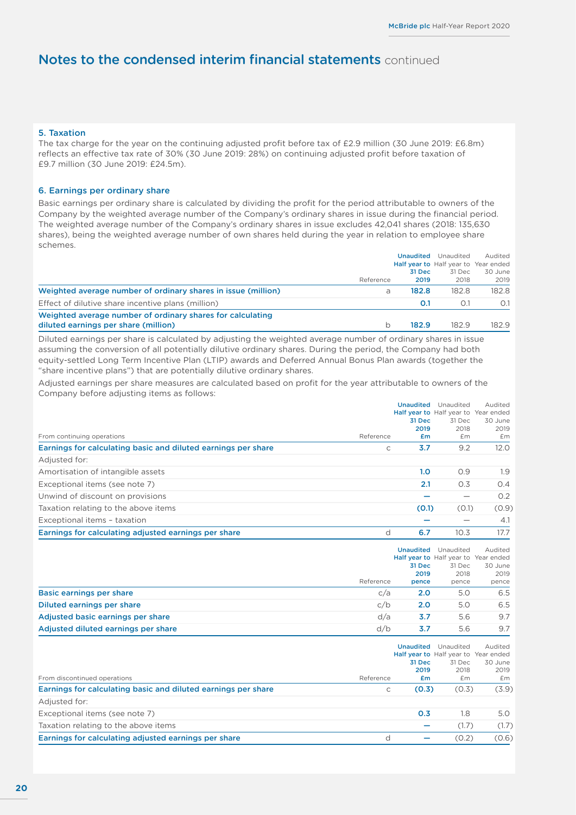#### <span id="page-21-0"></span>5. Taxation

The tax charge for the year on the continuing adjusted profit before tax of £2.9 million (30 June 2019: £6.8m) reflects an effective tax rate of 30% (30 June 2019: 28%) on continuing adjusted profit before taxation of £9.7 million (30 June 2019: £24.5m).

#### 6. Earnings per ordinary share

Basic earnings per ordinary share is calculated by dividing the profit for the period attributable to owners of the Company by the weighted average number of the Company's ordinary shares in issue during the financial period. The weighted average number of the Company's ordinary shares in issue excludes 42,041 shares (2018: 135,630 shares), being the weighted average number of own shares held during the year in relation to employee share schemes.

|                                                               |           | Unaudited<br>Half year to Half year to Year ended | Audited |         |
|---------------------------------------------------------------|-----------|---------------------------------------------------|---------|---------|
|                                                               |           |                                                   |         |         |
|                                                               |           | 31 Dec                                            | 31 Dec  | 30 June |
|                                                               | Reference | 2019                                              | 2018    | 2019    |
| Weighted average number of ordinary shares in issue (million) | a         | 182.8                                             | 182.8   | 182.8   |
| Effect of dilutive share incentive plans (million)            |           | 0.1                                               | O.1     | O.1     |
| Weighted average number of ordinary shares for calculating    |           |                                                   |         |         |
| diluted earnings per share (million)                          |           | 182.9                                             | 182.9   | 182.9   |

Diluted earnings per share is calculated by adjusting the weighted average number of ordinary shares in issue assuming the conversion of all potentially dilutive ordinary shares. During the period, the Company had both equity-settled Long Term Incentive Plan (LTIP) awards and Deferred Annual Bonus Plan awards (together the "share incentive plans") that are potentially dilutive ordinary shares.

Adjusted earnings per share measures are calculated based on profit for the year attributable to owners of the Company before adjusting items as follows:

|                                                               |           | <b>Unaudited</b><br>Unaudited | Audited                              |         |
|---------------------------------------------------------------|-----------|-------------------------------|--------------------------------------|---------|
|                                                               |           |                               | Half year to Half year to Year ended |         |
|                                                               |           | 31 Dec                        | 31 Dec                               | 30 June |
|                                                               |           | 2019                          | 2018                                 | 2019    |
| From continuing operations                                    | Reference | £m                            | £m                                   | £m      |
| Earnings for calculating basic and diluted earnings per share | C         | 3.7                           | 9.2                                  | 12.0    |
| Adjusted for:                                                 |           |                               |                                      |         |
| Amortisation of intangible assets                             |           | 1.0                           | O.9                                  | 1.9     |
| Exceptional items (see note 7)                                |           | 2.1                           | 0.3                                  | 0.4     |
| Unwind of discount on provisions                              |           |                               |                                      | 0.2     |
| Taxation relating to the above items                          |           | (0.1)                         | (0.1)                                | (0.9)   |
| Exceptional items - taxation                                  |           |                               |                                      | 4.1     |
| Earnings for calculating adjusted earnings per share          | d         | 6.7                           | 10.3                                 | 17.7    |
|                                                               |           |                               |                                      |         |

|                                     |           | <b>Unaudited</b> |        |                                      |
|-------------------------------------|-----------|------------------|--------|--------------------------------------|
|                                     |           |                  |        | Half year to Half year to Year ended |
|                                     |           | 31 Dec           | 31 Dec | 30 June                              |
|                                     |           | 2019             | 2018   | 2019                                 |
|                                     | Reference | pence            | pence  | pence                                |
| Basic earnings per share            | c/a       | 2.0              | 5.0    | 6.5                                  |
| Diluted earnings per share          | c/b       | 2.0              | 5.0    | 6.5                                  |
| Adjusted basic earnings per share   | d/a       | 3.7              | 5.6    | 9.7                                  |
| Adjusted diluted earnings per share | d/b       | 3.7              | 5.6    | 9.7                                  |

|                                                               |   | <b>Unaudited</b>     | Unaudited<br>Half year to Half year to Year ended | Audited               |
|---------------------------------------------------------------|---|----------------------|---------------------------------------------------|-----------------------|
| From discontinued operations<br>Reference                     |   | 31 Dec<br>2019<br>£m | 31 Dec<br>2018<br>£m                              | 30 June<br>2019<br>£m |
| Earnings for calculating basic and diluted earnings per share | С | (0.3)                | (0.3)                                             | (3.9)                 |
| Adjusted for:                                                 |   |                      |                                                   |                       |
| Exceptional items (see note 7)                                |   | 0.3                  | 1.8                                               | 5.0                   |
| Taxation relating to the above items                          |   |                      | (1.7)                                             | (1.7)                 |
| Earnings for calculating adjusted earnings per share          |   |                      | (0.2)                                             | (0.6)                 |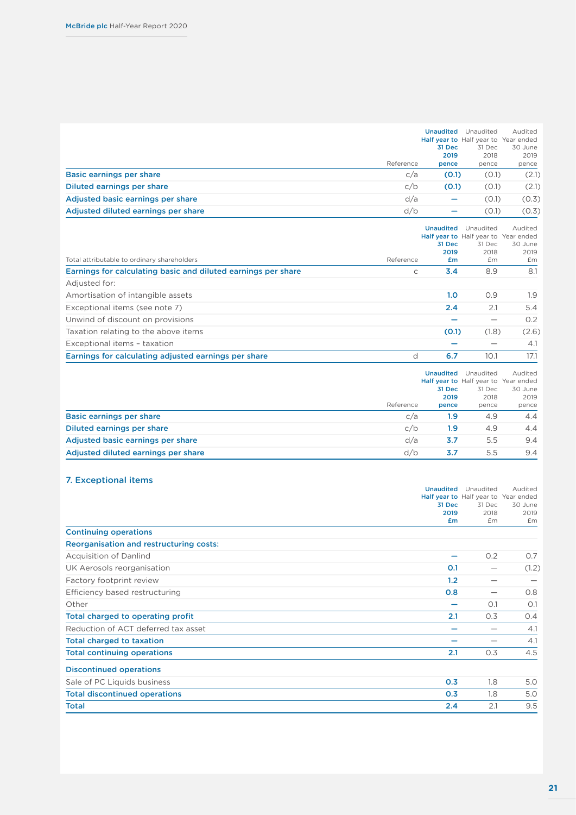<span id="page-22-0"></span>

|                                     |           | <b>Unaudited</b><br>31 Dec<br>2019 | Unaudited<br>Half year to Half year to Year ended<br>31 Dec<br>2018 | Audited<br>30 June<br>2019 |
|-------------------------------------|-----------|------------------------------------|---------------------------------------------------------------------|----------------------------|
|                                     | Reference | pence                              | pence                                                               | pence                      |
| Basic earnings per share            | c/a       | (0.1)                              | (0.1)                                                               | (2.1)                      |
| Diluted earnings per share          | c/b       | (0.1)                              | (0.1)                                                               | (2.1)                      |
| Adjusted basic earnings per share   | d/a       | $\overline{\phantom{0}}$           | (0.1)                                                               | (0.3)                      |
| Adjusted diluted earnings per share | d/b       |                                    | (0.1)                                                               | (0.3)                      |

| Total attributable to ordinary shareholders                   | Reference | <b>Unaudited</b><br>31 Dec<br>2019<br>£m | Unaudited<br>Half year to Half year to Year ended<br>31 Dec<br>2018<br>£m | Audited<br>30 June<br>2019<br>£m |
|---------------------------------------------------------------|-----------|------------------------------------------|---------------------------------------------------------------------------|----------------------------------|
| Earnings for calculating basic and diluted earnings per share | C         | 3.4                                      | 8.9                                                                       | 8.1                              |
| Adjusted for:                                                 |           |                                          |                                                                           |                                  |
| Amortisation of intangible assets                             |           | 1.0                                      | 0.9                                                                       | 1.9                              |
| Exceptional items (see note 7)                                |           | 2.4                                      | 2.1                                                                       | 5.4                              |
| Unwind of discount on provisions                              |           |                                          |                                                                           | 0.2                              |
| Taxation relating to the above items                          |           | (0.1)                                    | (1.8)                                                                     | (2.6)                            |
| Exceptional items - taxation                                  |           |                                          |                                                                           | 4.1                              |
| Earnings for calculating adjusted earnings per share          | d         | 6.7                                      | 10.1                                                                      | 17.1                             |

|                                     | <b>Unaudited</b> |        | Unaudited                            | Audited |
|-------------------------------------|------------------|--------|--------------------------------------|---------|
|                                     |                  |        | Half year to Half year to Year ended |         |
|                                     |                  | 31 Dec | 31 Dec                               | 30 June |
|                                     |                  | 2019   | 2018                                 | 2019    |
|                                     | Reference        | pence  | pence                                | pence   |
| Basic earnings per share            | c/a              | 1.9    | 4.9                                  | 4.4     |
| Diluted earnings per share          | c/b              | 1.9    | 4.9                                  | 4.4     |
| Adjusted basic earnings per share   | d/a              | 3.7    | 5.5                                  | 9.4     |
| Adjusted diluted earnings per share | d/b              | 3.7    | 5.5                                  | 9.4     |

#### 7. Exceptional items

|                                         | <b>Unaudited</b>       | Unaudited<br>Half year to Half year to Year ended | Audited    |
|-----------------------------------------|------------------------|---------------------------------------------------|------------|
|                                         |                        |                                                   |            |
|                                         | 31 Dec                 | 31 Dec                                            | 30 June    |
|                                         | 2019<br>£ <sub>m</sub> | 2018<br>£m                                        | 2019<br>£m |
| <b>Continuing operations</b>            |                        |                                                   |            |
| Reorganisation and restructuring costs: |                        |                                                   |            |
| <b>Acquisition of Danlind</b>           |                        | 0.2                                               | O.7        |
| UK Aerosols reorganisation              | O.1                    | $\overline{\phantom{0}}$                          | (1.2)      |
| Factory footprint review                | 1.2                    |                                                   |            |
| Efficiency based restructuring          | 0.8                    |                                                   | 0.8        |
| Other                                   |                        | O.1                                               | O.1        |
| Total charged to operating profit       | 2.1                    | O.3                                               | O.4        |
| Reduction of ACT deferred tax asset     |                        |                                                   | 4.1        |
| <b>Total charged to taxation</b>        |                        |                                                   | 4.1        |
| <b>Total continuing operations</b>      | 2.1                    | 0.3                                               | 4.5        |
| <b>Discontinued operations</b>          |                        |                                                   |            |
| Sale of PC Liquids business             | 0.3                    | 1.8                                               | 5.0        |
| <b>Total discontinued operations</b>    | 0.3                    | 1.8                                               | 5.0        |
| <b>Total</b>                            | 2.4                    | 2.1                                               | 9.5        |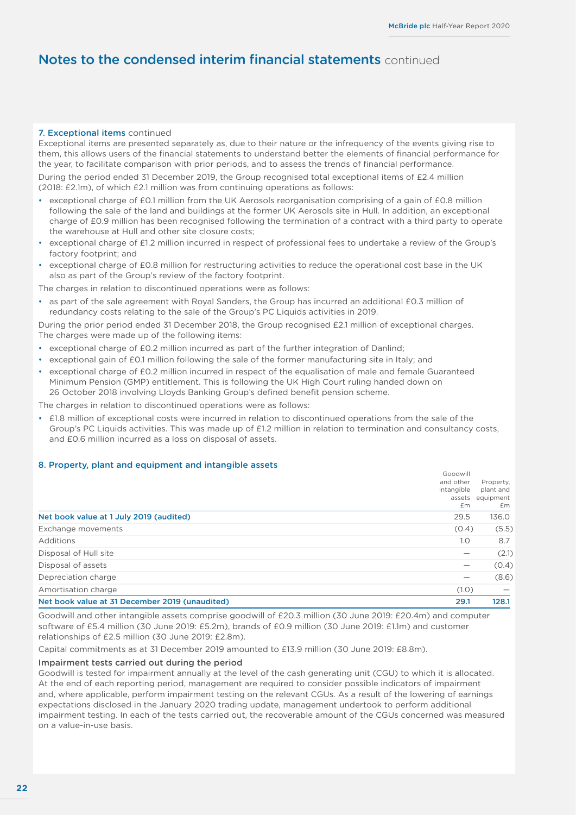#### <span id="page-23-0"></span>7. Exceptional items continued

Exceptional items are presented separately as, due to their nature or the infrequency of the events giving rise to them, this allows users of the financial statements to understand better the elements of financial performance for the year, to facilitate comparison with prior periods, and to assess the trends of financial performance.

During the period ended 31 December 2019, the Group recognised total exceptional items of £2.4 million (2018: £2.1m), of which £2.1 million was from continuing operations as follows:

- exceptional charge of £0.1 million from the UK Aerosols reorganisation comprising of a gain of £0.8 million following the sale of the land and buildings at the former UK Aerosols site in Hull. In addition, an exceptional charge of £0.9 million has been recognised following the termination of a contract with a third party to operate the warehouse at Hull and other site closure costs;
- exceptional charge of £1.2 million incurred in respect of professional fees to undertake a review of the Group's factory footprint; and
- exceptional charge of £0.8 million for restructuring activities to reduce the operational cost base in the UK also as part of the Group's review of the factory footprint.

The charges in relation to discontinued operations were as follows:

• as part of the sale agreement with Royal Sanders, the Group has incurred an additional £0.3 million of redundancy costs relating to the sale of the Group's PC Liquids activities in 2019.

During the prior period ended 31 December 2018, the Group recognised £2.1 million of exceptional charges. The charges were made up of the following items:

- exceptional charge of £0.2 million incurred as part of the further integration of Danlind;
- exceptional gain of £0.1 million following the sale of the former manufacturing site in Italy; and
- exceptional charge of £0.2 million incurred in respect of the equalisation of male and female Guaranteed Minimum Pension (GMP) entitlement. This is following the UK High Court ruling handed down on 26 October 2018 involving Lloyds Banking Group's defined benefit pension scheme.

The charges in relation to discontinued operations were as follows:

• £1.8 million of exceptional costs were incurred in relation to discontinued operations from the sale of the Group's PC Liquids activities. This was made up of £1.2 million in relation to termination and consultancy costs, and £0.6 million incurred as a loss on disposal of assets.

#### 8. Property, plant and equipment and intangible assets

| Net book value at 31 December 2019 (unaudited) | 29.1                       | 128.1                        |
|------------------------------------------------|----------------------------|------------------------------|
| Amortisation charge                            | (1.0)                      |                              |
| Depreciation charge                            | $\overline{\phantom{0}}$   | (8.6)                        |
| Disposal of assets                             | $\overline{\phantom{0}}$   | (0.4)                        |
| Disposal of Hull site                          |                            | (2.1)                        |
| Additions                                      | 1.0                        | 8.7                          |
| Exchange movements                             | (0.4)                      | (5.5)                        |
| Net book value at 1 July 2019 (audited)        | 29.5                       | 136.0                        |
|                                                | intangible<br>assets<br>£m | plant and<br>equipment<br>£m |
|                                                | Goodwill<br>and other      | Property,                    |

Goodwill and other intangible assets comprise goodwill of £20.3 million (30 June 2019: £20.4m) and computer software of £5.4 million (30 June 2019: £5.2m), brands of £0.9 million (30 June 2019: £1.1m) and customer relationships of £2.5 million (30 June 2019: £2.8m).

Capital commitments as at 31 December 2019 amounted to £13.9 million (30 June 2019: £8.8m).

#### Impairment tests carried out during the period

Goodwill is tested for impairment annually at the level of the cash generating unit (CGU) to which it is allocated. At the end of each reporting period, management are required to consider possible indicators of impairment and, where applicable, perform impairment testing on the relevant CGUs. As a result of the lowering of earnings expectations disclosed in the January 2020 trading update, management undertook to perform additional impairment testing. In each of the tests carried out, the recoverable amount of the CGUs concerned was measured on a value-in-use basis.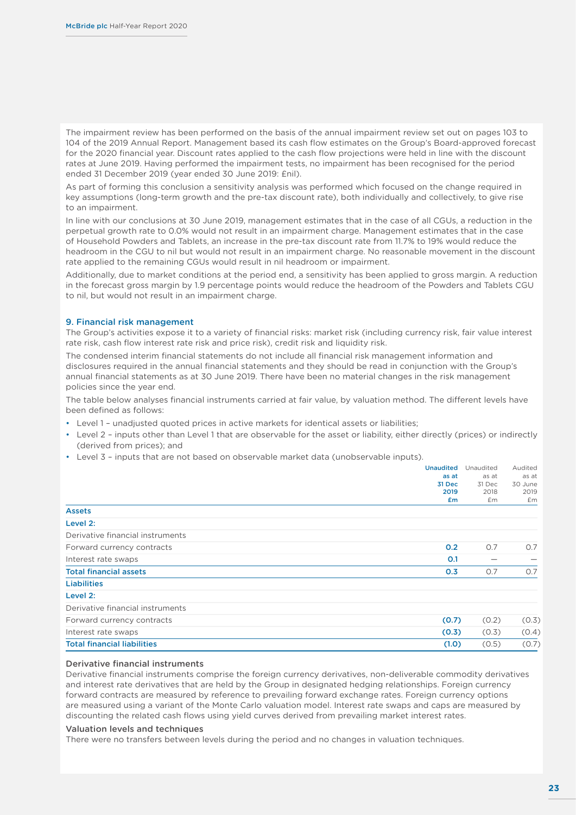<span id="page-24-0"></span>The impairment review has been performed on the basis of the annual impairment review set out on pages 103 to 104 of the 2019 Annual Report. Management based its cash flow estimates on the Group's Board-approved forecast for the 2020 financial year. Discount rates applied to the cash flow projections were held in line with the discount rates at June 2019. Having performed the impairment tests, no impairment has been recognised for the period ended 31 December 2019 (year ended 30 June 2019: £nil).

As part of forming this conclusion a sensitivity analysis was performed which focused on the change required in key assumptions (long-term growth and the pre-tax discount rate), both individually and collectively, to give rise to an impairment.

In line with our conclusions at 30 June 2019, management estimates that in the case of all CGUs, a reduction in the perpetual growth rate to 0.0% would not result in an impairment charge. Management estimates that in the case of Household Powders and Tablets, an increase in the pre-tax discount rate from 11.7% to 19% would reduce the headroom in the CGU to nil but would not result in an impairment charge. No reasonable movement in the discount rate applied to the remaining CGUs would result in nil headroom or impairment.

Additionally, due to market conditions at the period end, a sensitivity has been applied to gross margin. A reduction in the forecast gross margin by 1.9 percentage points would reduce the headroom of the Powders and Tablets CGU to nil, but would not result in an impairment charge.

#### 9. Financial risk management

The Group's activities expose it to a variety of financial risks: market risk (including currency risk, fair value interest rate risk, cash flow interest rate risk and price risk), credit risk and liquidity risk.

The condensed interim financial statements do not include all financial risk management information and disclosures required in the annual financial statements and they should be read in conjunction with the Group's annual financial statements as at 30 June 2019. There have been no material changes in the risk management policies since the year end.

The table below analyses financial instruments carried at fair value, by valuation method. The different levels have been defined as follows:

- Level 1 unadiusted quoted prices in active markets for identical assets or liabilities;
- Level 2 inputs other than Level 1 that are observable for the asset or liability, either directly (prices) or indirectly (derived from prices); and
- Level 3 inputs that are not based on observable market data (unobservable inputs).

|                                    | <b>Unaudited</b><br>as at<br>31 Dec<br>2019<br>£m | Unaudited<br>as at<br>31 Dec<br>2018<br>£m | Audited<br>as at<br>30 June<br>2019<br>£m |
|------------------------------------|---------------------------------------------------|--------------------------------------------|-------------------------------------------|
| <b>Assets</b>                      |                                                   |                                            |                                           |
| Level 2:                           |                                                   |                                            |                                           |
| Derivative financial instruments   |                                                   |                                            |                                           |
| Forward currency contracts         | 0.2                                               | 0.7                                        | 0.7                                       |
| Interest rate swaps                | 0.1                                               |                                            |                                           |
| <b>Total financial assets</b>      | 0.3                                               | 0.7                                        | O.7                                       |
| <b>Liabilities</b>                 |                                                   |                                            |                                           |
| Level 2:                           |                                                   |                                            |                                           |
| Derivative financial instruments   |                                                   |                                            |                                           |
| Forward currency contracts         | (0.7)                                             | (0.2)                                      | (0.3)                                     |
| Interest rate swaps                | (0.3)                                             | (0.3)                                      | (0.4)                                     |
| <b>Total financial liabilities</b> | (1.0)                                             | (0.5)                                      | (0.7)                                     |

#### Derivative financial instruments

Derivative financial instruments comprise the foreign currency derivatives, non-deliverable commodity derivatives and interest rate derivatives that are held by the Group in designated hedging relationships. Foreign currency forward contracts are measured by reference to prevailing forward exchange rates. Foreign currency options are measured using a variant of the Monte Carlo valuation model. Interest rate swaps and caps are measured by discounting the related cash flows using yield curves derived from prevailing market interest rates.

#### Valuation levels and techniques

There were no transfers between levels during the period and no changes in valuation techniques.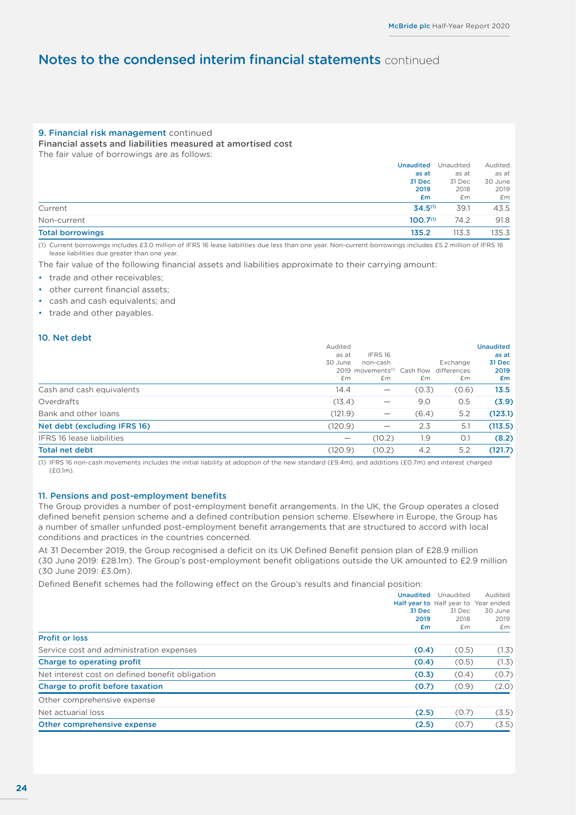#### <span id="page-25-0"></span>9. Financial risk management continued

Financial assets and liabilities measured at amortised cost

The fair value of borrowings are as follows:

|                         | <b>Unaudited</b>     | Unaudited | Audited |
|-------------------------|----------------------|-----------|---------|
|                         | as at                | as at     | as at   |
|                         | 31 Dec               | 31 Dec    | 30 June |
|                         | 2019                 | 2018      | 2019    |
|                         | £m                   | £m        | £m      |
| Current                 | $34.5^{(1)}$         | 39.1      | 43.5    |
| Non-current             | 100.7 <sup>(1)</sup> | 74.2      | 91.8    |
| <b>Total borrowings</b> | 135.2                | 113.3     | 135.3   |
|                         |                      |           |         |

(1) Current borrowings includes £3.0 million of IFRS 16 lease liabilities due less than one year. Non-current borrowings includes £5.2 million of IFRS 16 lease liabilities due greater than one year.

The fair value of the following financial assets and liabilities approximate to their carrying amount:

- trade and other receivables:
- other current financial assets;
- cash and cash equivalents; and
- trade and other payables.

#### 10. Net debt

|                                  | Audited                         |                                                     |       |          | <b>Unaudited</b> |
|----------------------------------|---------------------------------|-----------------------------------------------------|-------|----------|------------------|
|                                  | as at                           | IFRS16                                              |       |          | as at            |
|                                  | 30 June                         | non-cash                                            |       | Exchange | 31 Dec           |
|                                  |                                 | 2019 movements <sup>(1)</sup> Cash flow differences |       |          | 2019             |
|                                  | £m                              | £m                                                  | £m    | £m       | £m               |
| Cash and cash equivalents        | 14.4                            | $\overline{\phantom{0}}$                            | (0.3) | (0.6)    | 13.5             |
| Overdrafts                       | (13.4)                          | $\hspace{0.1mm}-\hspace{0.1mm}$                     | 9.0   | O.5      | (3.9)            |
| Bank and other loans             | (121.9)                         | $\hspace{0.1mm}-\hspace{0.1mm}$                     | (6.4) | 5.2      | (123.1)          |
| Net debt (excluding IFRS 16)     | (120.9)                         |                                                     | 2.3   | 5.1      | (113.5)          |
| <b>IFRS 16 lease liabilities</b> | $\hspace{0.1mm}-\hspace{0.1mm}$ | (10.2)                                              | 1.9   | O.1      | (8.2)            |
| <b>Total net debt</b>            | (120.9)                         | (10.2)                                              | 4.2   | 5.2      | (121.7)          |
|                                  |                                 |                                                     |       |          |                  |

(1) IFRS 16 non-cash movements includes the initial liability at adoption of the new standard (£9.4m), and additions (£0.7m) and interest charged (£0.1m).

#### 11. Pensions and post-employment benefits

The Group provides a number of post-employment benefit arrangements. In the UK, the Group operates a closed defined benefit pension scheme and a defined contribution pension scheme. Elsewhere in Europe, the Group has a number of smaller unfunded post-employment benefit arrangements that are structured to accord with local conditions and practices in the countries concerned.

At 31 December 2019, the Group recognised a deficit on its UK Defined Benefit pension plan of £28.9 million (30 June 2019: £28.1m). The Group's post-employment benefit obligations outside the UK amounted to £2.9 million (30 June 2019: £3.0m).

Defined Benefit schemes had the following effect on the Group's results and financial position:

|                                                 | <b>Unaudited</b>                     | Unaudited | Audited |
|-------------------------------------------------|--------------------------------------|-----------|---------|
|                                                 | Half year to Half year to Year ended |           |         |
|                                                 | 31 Dec                               | 31 Dec    | 30 June |
|                                                 | 2019                                 | 2018      | 2019    |
|                                                 | £m                                   | £m        | £m      |
| <b>Profit or loss</b>                           |                                      |           |         |
| Service cost and administration expenses        | (0.4)                                | (0.5)     | (1.3)   |
| Charge to operating profit                      | (0.4)                                | (0.5)     | (1.3)   |
| Net interest cost on defined benefit obligation | (0.3)                                | (0.4)     | (0.7)   |
| Charge to profit before taxation                | (0.7)                                | (0.9)     | (2.0)   |
| Other comprehensive expense                     |                                      |           |         |
| Net actuarial loss                              | (2.5)                                | (0.7)     | (3.5)   |
| Other comprehensive expense                     | (2.5)                                | (0.7)     | (3.5)   |
|                                                 |                                      |           |         |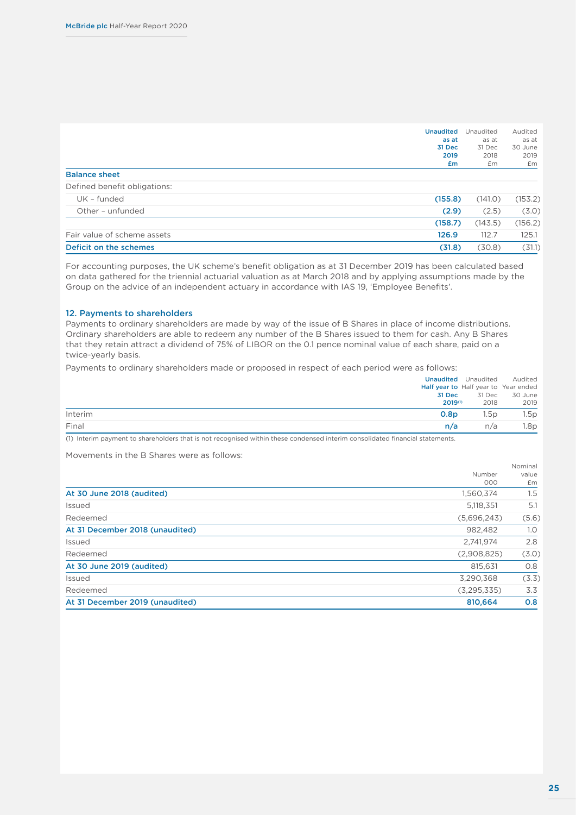| <b>Unaudited</b><br>as at<br>31 Dec<br>2019 | Unaudited<br>as at<br>31 Dec<br>2018 | Audited<br>as at<br>30 June<br>2019         |
|---------------------------------------------|--------------------------------------|---------------------------------------------|
|                                             |                                      | £m                                          |
|                                             |                                      |                                             |
|                                             |                                      |                                             |
|                                             | (141.0)                              | (153.2)                                     |
|                                             | (2.5)                                | (3.0)                                       |
|                                             | (143.5)                              | (156.2)                                     |
| 126.9                                       | 112.7                                | 125.1                                       |
|                                             | (30.8)                               | (31.1)                                      |
|                                             | £m                                   | £m<br>(155.8)<br>(2.9)<br>(158.7)<br>(31.8) |

For accounting purposes, the UK scheme's benefit obligation as at 31 December 2019 has been calculated based on data gathered for the triennial actuarial valuation as at March 2018 and by applying assumptions made by the Group on the advice of an independent actuary in accordance with IAS 19, 'Employee Benefits'.

#### 12. Payments to shareholders

Payments to ordinary shareholders are made by way of the issue of B Shares in place of income distributions. Ordinary shareholders are able to redeem any number of the B Shares issued to them for cash. Any B Shares that they retain attract a dividend of 75% of LIBOR on the 0.1 pence nominal value of each share, paid on a twice-yearly basis.

Payments to ordinary shareholders made or proposed in respect of each period were as follows:

|         | <b>Unaudited</b> Unaudited           | Audited |
|---------|--------------------------------------|---------|
|         | Half year to Half year to Year ended |         |
|         | 31 Dec<br>31 Dec                     | 30 June |
|         | $2019^{(1)}$<br>2018                 | 2019    |
| Interim | 0.8 <sub>D</sub><br>1.5p             | 1.5p    |
| Final   | n/a<br>n/a                           | 1.8p    |

(1) Interim payment to shareholders that is not recognised within these condensed interim consolidated financial statements.

Movements in the B Shares were as follows:

|                                 |               | Nominal |
|---------------------------------|---------------|---------|
|                                 | Number        | value   |
|                                 | 000           | £m      |
| At 30 June 2018 (audited)       | 1,560,374     | 1.5     |
| Issued                          | 5,118,351     | 5.1     |
| Redeemed                        | (5,696,243)   | (5.6)   |
| At 31 December 2018 (unaudited) | 982.482       | 1.0     |
| Issued                          | 2,741,974     | 2.8     |
| Redeemed                        | (2,908,825)   | (3.0)   |
| At 30 June 2019 (audited)       | 815.631       | O.8     |
| Issued                          | 3,290,368     | (3.3)   |
| Redeemed                        | (3, 295, 335) | 3.3     |
| At 31 December 2019 (unaudited) | 810,664       | 0.8     |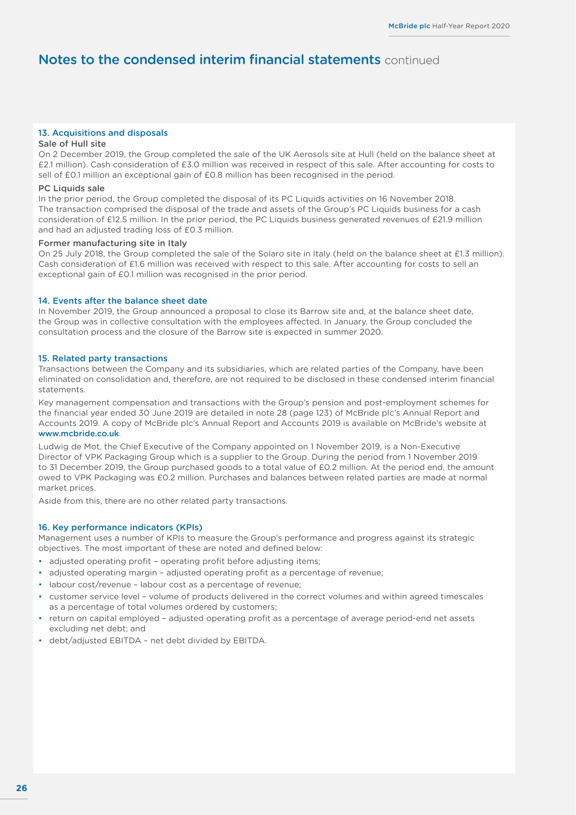#### 13. Acquisitions and disposals

#### Sale of Hull site

On 2 December 2019, the Group completed the sale of the UK Aerosols site at Hull (held on the balance sheet at £2.1 million). Cash consideration of £3.0 million was received in respect of this sale. After accounting for costs to sell of £0.1 million an exceptional gain of £0.8 million has been recognised in the period.

#### PC Liquids sale

In the prior period, the Group completed the disposal of its PC Liquids activities on 16 November 2018. The transaction comprised the disposal of the trade and assets of the Group's PC Liquids business for a cash consideration of £12.5 million. In the prior period, the PC Liquids business generated revenues of £21.9 million and had an adjusted trading loss of £0.3 million.

#### Former manufacturing site in Italy

On 25 July 2018, the Group completed the sale of the Solaro site in Italy (held on the balance sheet at £1.3 million). Cash consideration of £1.6 million was received with respect to this sale. After accounting for costs to sell an exceptional gain of £0.1 million was recognised in the prior period.

#### 14. Events after the balance sheet date

In November 2019, the Group announced a proposal to close its Barrow site and, at the balance sheet date, the Group was in collective consultation with the employees affected. In January, the Group concluded the consultation process and the closure of the Barrow site is expected in summer 2020.

#### 15. Related party transactions

Transactions between the Company and its subsidiaries, which are related parties of the Company, have been eliminated on consolidation and, therefore, are not required to be disclosed in these condensed interim financial statements.

Key management compensation and transactions with the Group's pension and post-employment schemes for the financial year ended 30 June 2019 are detailed in note 28 (page 123) of McBride plc's Annual Report and Accounts 2019. A copy of McBride plc's Annual Report and Accounts 2019 is available on McBride's website at <www.mcbride.co.uk>.

Ludwig de Mot, the Chief Executive of the Company appointed on 1 November 2019, is a Non-Executive Director of VPK Packaging Group which is a supplier to the Group. During the period from 1 November 2019 to 31 December 2019, the Group purchased goods to a total value of £0.2 million. At the period end, the amount owed to VPK Packaging was £0.2 million. Purchases and balances between related parties are made at normal market prices.

Aside from this, there are no other related party transactions.

#### 16. Key performance indicators (KPIs)

Management uses a number of KPIs to measure the Group's performance and progress against its strategic objectives. The most important of these are noted and defined below:

- adjusted operating profit operating profit before adjusting items;
- adjusted operating margin adjusted operating profit as a percentage of revenue;
- labour cost/revenue labour cost as a percentage of revenue;
- customer service level volume of products delivered in the correct volumes and within agreed timescales as a percentage of total volumes ordered by customers;
- return on capital employed adjusted operating profit as a percentage of average period-end net assets excluding net debt; and
- debt/adjusted EBITDA net debt divided by EBITDA.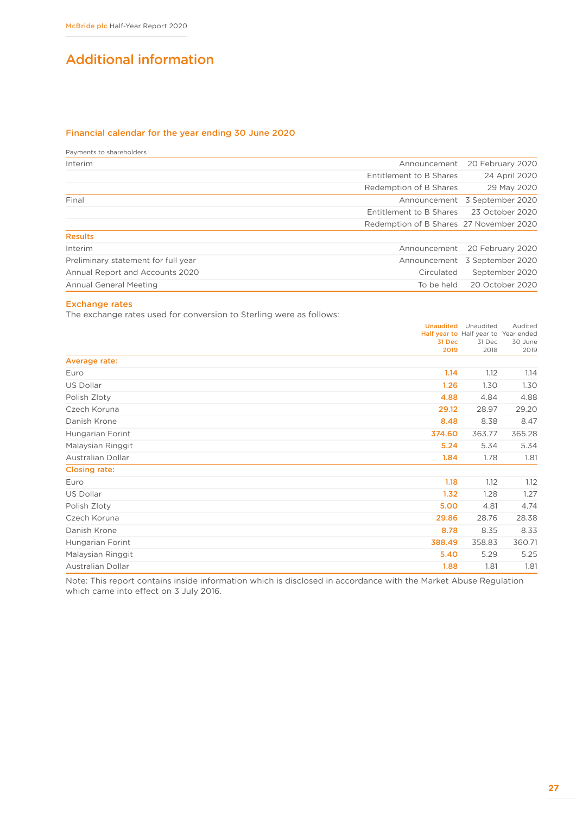## <span id="page-28-0"></span>Additional information

#### Financial calendar for the year ending 30 June 2020

Payments to shareholders

| Interim                             | Announcement                            | 20 February 2020              |
|-------------------------------------|-----------------------------------------|-------------------------------|
|                                     | Entitlement to B Shares                 | 24 April 2020                 |
|                                     | Redemption of B Shares                  | 29 May 2020                   |
| Final                               |                                         | Announcement 3 September 2020 |
|                                     | Entitlement to B Shares                 | 23 October 2020               |
|                                     | Redemption of B Shares 27 November 2020 |                               |
| <b>Results</b>                      |                                         |                               |
| Interim                             |                                         | Announcement 20 February 2020 |
| Preliminary statement for full year |                                         | Announcement 3 September 2020 |
| Annual Report and Accounts 2020     | Circulated                              | September 2020                |
| <b>Annual General Meeting</b>       | To be held                              | 20 October 2020               |
|                                     |                                         |                               |

#### Exchange rates

The exchange rates used for conversion to Sterling were as follows:

|                          | 31 Dec<br>2019 | <b>Unaudited</b> Unaudited<br>Half year to Half year to Year ended<br>31 Dec<br>2018 | Audited<br>30 June<br>2019 |
|--------------------------|----------------|--------------------------------------------------------------------------------------|----------------------------|
| Average rate:            |                |                                                                                      |                            |
| Euro                     | 1.14           | 1.12                                                                                 | 1.14                       |
| <b>US Dollar</b>         | 1.26           | 1.30                                                                                 | 1.30                       |
| Polish Zloty             | 4.88           | 4.84                                                                                 | 4.88                       |
| Czech Koruna             | 29.12          | 28.97                                                                                | 29.20                      |
| Danish Krone             | 8.48           | 8.38                                                                                 | 8.47                       |
| Hungarian Forint         | 374.60         | 363.77                                                                               | 365.28                     |
| Malaysian Ringgit        | 5.24           | 5.34                                                                                 | 5.34                       |
| <b>Australian Dollar</b> | 1.84           | 1.78                                                                                 | 1.81                       |
| <b>Closing rate:</b>     |                |                                                                                      |                            |
| Euro                     | 1.18           | 1.12                                                                                 | 1.12                       |
| <b>US Dollar</b>         | 1.32           | 1.28                                                                                 | 1.27                       |
| Polish Zloty             | 5.00           | 4.81                                                                                 | 4.74                       |
| Czech Koruna             | 29.86          | 28.76                                                                                | 28.38                      |
| Danish Krone             | 8.78           | 8.35                                                                                 | 8.33                       |
| Hungarian Forint         | 388.49         | 358.83                                                                               | 360.71                     |
| Malaysian Ringgit        | 5.40           | 5.29                                                                                 | 5.25                       |
| <b>Australian Dollar</b> | 1.88           | 1.81                                                                                 | 1.81                       |

Note: This report contains inside information which is disclosed in accordance with the Market Abuse Regulation which came into effect on 3 July 2016.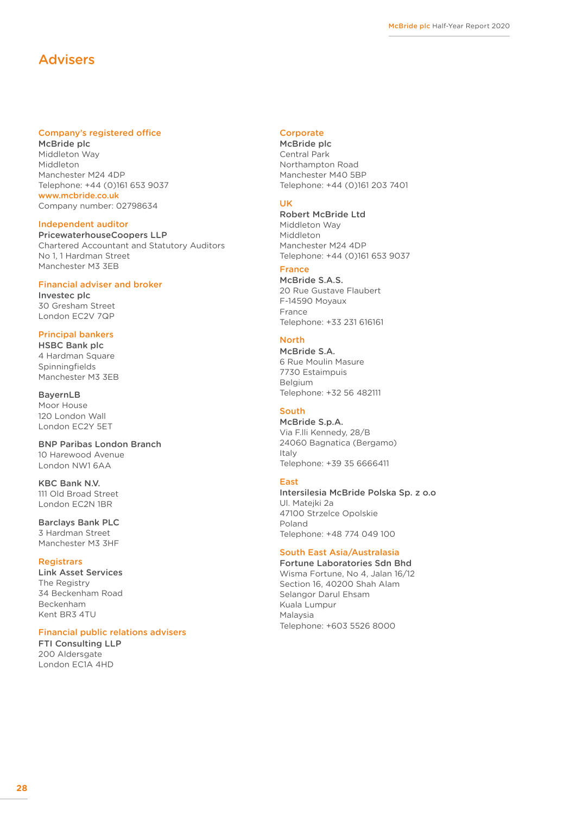## <span id="page-29-0"></span>Advisers

#### Company's registered office

McBride plc Middleton Way Middleton Manchester M24 4DP Telephone: +44 (0)161 653 9037 <www.mcbride.co.uk> Company number: 02798634

#### Independent auditor

PricewaterhouseCoopers LLP Chartered Accountant and Statutory Auditors No 1, 1 Hardman Street Manchester M3 3EB

#### Financial adviser and broker

Investec plc 30 Gresham Street London EC2V 7QP

#### Principal bankers

HSBC Bank plc 4 Hardman Square Spinningfields Manchester M3 3EB

BayernLB Moor House 120 London Wall London EC2Y 5ET

#### BNP Paribas London Branch 10 Harewood Avenue London NW1 6AA

KBC Bank N.V. 111 Old Broad Street London EC2N 1BR

#### Barclays Bank PLC

3 Hardman Street Manchester M3 3HF

#### **Registrars**

Link Asset Services The Registry 34 Beckenham Road Beckenham Kent BR3 4TU

#### Financial public relations advisers

FTI Consulting LLP 200 Aldersgate London EC1A 4HD

#### **Corporate**

McBride plc Central Park Northampton Road Manchester M40 5BP Telephone: +44 (0)161 203 7401

#### UK

Robert McBride Ltd Middleton Way Middleton Manchester M24 4DP Telephone: +44 (0)161 653 9037

### France

McBride S.A.S. 20 Rue Gustave Flaubert F-14590 Moyaux France Telephone: +33 231 616161

#### North

McBride S.A. 6 Rue Moulin Masure 7730 Estaimpuis Belgium Telephone: +32 56 482111

#### South

McBride S.p.A. Via F.lli Kennedy, 28/B 24060 Bagnatica (Bergamo) Italy Telephone: +39 35 6666411

#### East

Intersilesia McBride Polska Sp. z o.o Ul. Matejki 2a 47100 Strzelce Opolskie Poland Telephone: +48 774 049 100

#### South East Asia/Australasia

Fortune Laboratories Sdn Bhd Wisma Fortune, No 4, Jalan 16/12 Section 16, 40200 Shah Alam Selangor Darul Ehsam Kuala Lumpur Malaysia Telephone: +603 5526 8000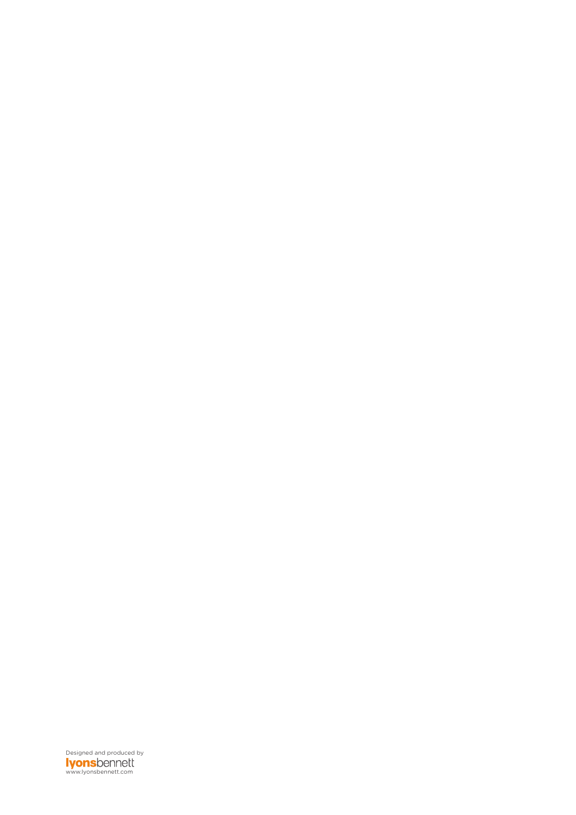